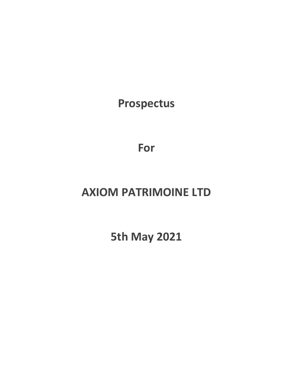**Prospectus**

**For**

# **AXIOM PATRIMOINE LTD**

**5th May 2021**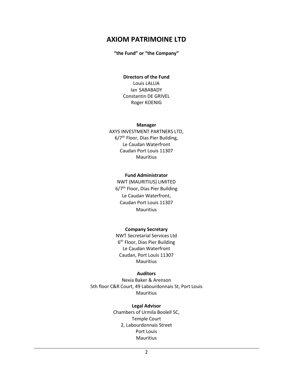# **AXIOM PATRIMOINE LTD**

#### **"the Fund" or "the Company"**

#### **Directors of the Fund** Louis LALLIA

Ian SABABADY Constantin DE GRIVEL Roger KOENIG

#### **Manager**

AXYS INVESTMENT PARTNERS LTD, 6/7th Floor, Dias Pier Building, Le Caudan Waterfront Caudan Port Louis 11307 Mauritius

#### **Fund Administrator**

NWT (MAURITIUS) LIMITED 6/7<sup>th</sup> Floor, Dias Pier Building Le Caudan Waterfront, Caudan Port Louis 11307 Mauritius

#### **Company Secretary**

NWT Secretarial Services Ltd 6<sup>th</sup> Floor, Dias Pier Building Le Caudan Waterfront Caudan, Port Louis 11307 Mauritius

#### **Auditors**

Nexia Baker & Arenson 5th floor C&R Court, 49 Labourdonnais St, Port Louis Mauritius

#### **Legal Advisor**

Chambers of Urmila Boolell SC, Temple Court 2, Labourdonnais Street Port Louis Mauritius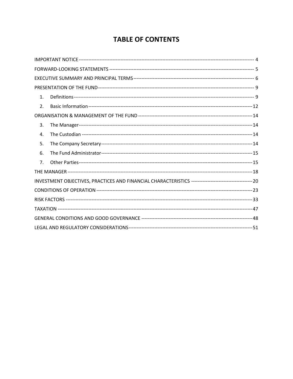# **TABLE OF CONTENTS**

| 1.                     |  |  |
|------------------------|--|--|
| $\mathfrak{D}_{\cdot}$ |  |  |
|                        |  |  |
| 3.                     |  |  |
| 4.                     |  |  |
| 5.                     |  |  |
| 6.                     |  |  |
| 7.                     |  |  |
|                        |  |  |
|                        |  |  |
|                        |  |  |
|                        |  |  |
|                        |  |  |
|                        |  |  |
|                        |  |  |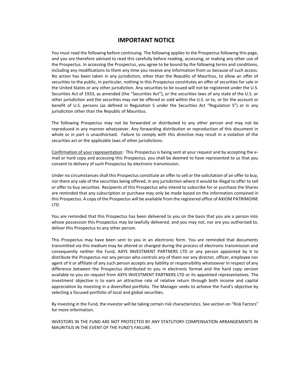### **IMPORTANT NOTICE**

<span id="page-3-0"></span>You must read the following before continuing. The following applies to the Prospectus following this page, and you are therefore advised to read this carefully before reading, accessing, or making any other use of the Prospectus. In accessing the Prospectus, you agree to be bound by the following terms and conditions, including any modifications to them any time you receive any information from us because of such access. No action has been taken in any jurisdiction, other than the Republic of Mauritius, to allow an offer of securities to the public, in particular, nothing in this Prospectus constitutes an offer of securities for sale in the United States or any other jurisdiction. Any securities to be issued will not be registered under the U.S. Securities Act of 1933, as amended (the "Securities Act"), or the securities laws of any state of the U.S. or other jurisdiction and the securities may not be offered or sold within the U.S. or to, or for the account or benefit of U.S. persons (as defined in Regulation S under the Securities Act "Regulation S") or in any jurisdiction other than the Republic of Mauritius.

The following Prospectus may not be forwarded or distributed to any other person and may not be reproduced in any manner whatsoever. Any forwarding distribution or reproduction of this document in whole or in part is unauthorised. Failure to comply with this directive may result in a violation of the securities act or the applicable laws of other jurisdictions.

Confirmation of your representation: This Prospectus is being sent at your request and by accepting the email or hard copy and accessing this Prospectus, you shall be deemed to have represented to us that you consent to delivery of such Prospectus by electronic transmission.

Under no circumstances shall this Prospectus constitute an offer to sell or the solicitation of an offer to buy, nor there any sale of the securities being offered, in any jurisdiction where it would be illegal to offer to sell or offer to buy securities. Recipients of this Prospectus who intend to subscribe for or purchase the Shares are reminded that any subscription or purchase may only be made based on the information contained in this Prospectus. A copy of the Prospectus will be available from the registered office of AXIOM PATRIMOINE LTD.

You are reminded that this Prospectus has been delivered to you on the basis that you are a person into whose possession this Prospectus may be lawfully delivered, and you may not, nor are you authorised to, deliver this Prospectus to any other person.

This Prospectus may have been sent to you in an electronic form. You are reminded that documents transmitted via this medium may be altered or changed during the process of electronic transmission and consequently neither the Fund, AXYS INVESTMENT PARTNERS LTD or any person appointed by it to distribute the Prospectus nor any person who controls any of them nor any director, officer, employee nor agent of it or affiliate of any such person accepts any liability or responsibility whatsoever in respect of any difference between the Prospectus distributed to you in electronic format and the hard copy version available to you on request from AXYS INVESTMENT PARTNERS LTD or its appointed representatives. The investment objective is to earn an attractive rate of relative return through both income and capital appreciation by investing in a diversified portfolio. The Manager seeks to achieve the Fund's objective by selecting a focused portfolio of local and global securities.

By investing in the Fund, the investor will be taking certain risk characteristics. See section on "Risk Factors" for more information.

INVESTORS IN THE FUND ARE NOT PROTECTED BY ANY STATUTORY COMPENSATION ARRANGEMENTS IN MAURITIUS IN THE EVENT OF THE FUND'S FAILURE.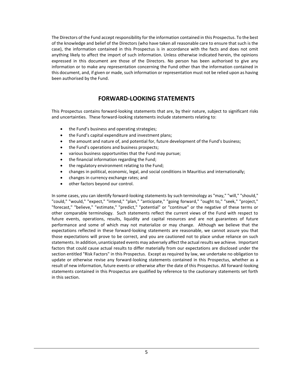The Directors of the Fund accept responsibility for the information contained in this Prospectus. To the best of the knowledge and belief of the Directors (who have taken all reasonable care to ensure that such is the case), the information contained in this Prospectus is in accordance with the facts and does not omit anything likely to affect the import of such information. Unless otherwise indicated herein, the opinions expressed in this document are those of the Directors. No person has been authorised to give any information or to make any representation concerning the Fund other than the information contained in this document, and, if given or made, such information or representation must not be relied upon as having been authorised by the Fund.

# **FORWARD-LOOKING STATEMENTS**

<span id="page-4-0"></span>This Prospectus contains forward-looking statements that are, by their nature, subject to significant risks and uncertainties. These forward-looking statements include statements relating to:

- the Fund's business and operating strategies;
- the Fund's capital expenditure and investment plans;
- the amount and nature of, and potential for, future development of the Fund's business;
- the Fund's operations and business prospects;
- various business opportunities that the Fund may pursue;
- the financial information regarding the Fund;
- the regulatory environment relating to the Fund;
- changes in political, economic, legal, and social conditions in Mauritius and internationally;
- changes in currency exchange rates; and
- other factors beyond our control.

In some cases, you can identify forward-looking statements by such terminology as "may," "will," "should," "could," "would," "expect," "intend," "plan," "anticipate," "going forward," "ought to," "seek," "project," "forecast," "believe," "estimate," "predict," "potential" or "continue" or the negative of these terms or other comparable terminology. Such statements reflect the current views of the Fund with respect to future events, operations, results, liquidity and capital resources and are not guarantees of future performance and some of which may not materialize or may change. Although we believe that the expectations reflected in these forward-looking statements are reasonable, we cannot assure you that those expectations will prove to be correct, and you are cautioned not to place undue reliance on such statements. In addition, unanticipated events may adversely affect the actual results we achieve. Important factors that could cause actual results to differ materially from our expectations are disclosed under the section entitled "Risk Factors" in this Prospectus. Except as required by law, we undertake no obligation to update or otherwise revise any forward-looking statements contained in this Prospectus, whether as a result of new information, future events or otherwise after the date of this Prospectus. All forward-looking statements contained in this Prospectus are qualified by reference to the cautionary statements set forth in this section.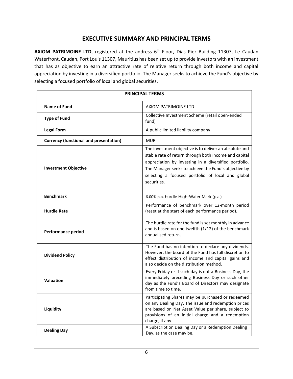# **EXECUTIVE SUMMARY AND PRINCIPAL TERMS**

<span id="page-5-0"></span>AXIOM PATRIMOINE LTD, registered at the address 6<sup>th</sup> Floor, Dias Pier Building 11307, Le Caudan Waterfront, Caudan, Port Louis 11307, Mauritius has been set up to provide investors with an investment that has as objective to earn an attractive rate of relative return through both income and capital appreciation by investing in a diversified portfolio. The Manager seeks to achieve the Fund's objective by selecting a focused portfolio of local and global securities.

| <b>PRINCIPAL TERMS</b>                        |                                                                                                                                                                                                                                                                                                      |  |
|-----------------------------------------------|------------------------------------------------------------------------------------------------------------------------------------------------------------------------------------------------------------------------------------------------------------------------------------------------------|--|
| Name of Fund                                  | AXIOM PATRIMOINE LTD                                                                                                                                                                                                                                                                                 |  |
| <b>Type of Fund</b>                           | Collective Investment Scheme (retail open-ended<br>fund)                                                                                                                                                                                                                                             |  |
| <b>Legal Form</b>                             | A public limited liability company                                                                                                                                                                                                                                                                   |  |
| <b>Currency (functional and presentation)</b> | <b>MUR</b>                                                                                                                                                                                                                                                                                           |  |
| <b>Investment Objective</b>                   | The investment objective is to deliver an absolute and<br>stable rate of return through both income and capital<br>appreciation by investing in a diversified portfolio.<br>The Manager seeks to achieve the Fund's objective by<br>selecting a focused portfolio of local and global<br>securities. |  |
| <b>Benchmark</b>                              | 6.00% p.a. hurdle High-Water Mark (p.a.)                                                                                                                                                                                                                                                             |  |
| <b>Hurdle Rate</b>                            | Performance of benchmark over 12-month period<br>(reset at the start of each performance period).                                                                                                                                                                                                    |  |
| <b>Performance period</b>                     | The hurdle rate for the fund is set monthly in advance<br>and is based on one twelfth (1/12) of the benchmark<br>annualised return.                                                                                                                                                                  |  |
| <b>Dividend Policy</b>                        | The Fund has no intention to declare any dividends.<br>However, the board of the Fund has full discretion to<br>effect distribution of income and capital gains and<br>also decide on the distribution method.                                                                                       |  |
| <b>Valuation</b>                              | Every Friday or if such day is not a Business Day, the<br>immediately preceding Business Day or such other<br>day as the Fund's Board of Directors may designate<br>from time to time.                                                                                                               |  |
| Liquidity                                     | Participating Shares may be purchased or redeemed<br>on any Dealing Day. The issue and redemption prices<br>are based on Net Asset Value per share, subject to<br>provisions of an initial charge and a redemption<br>charge, if any.                                                                |  |
| <b>Dealing Day</b>                            | A Subscription Dealing Day or a Redemption Dealing<br>Day, as the case may be.                                                                                                                                                                                                                       |  |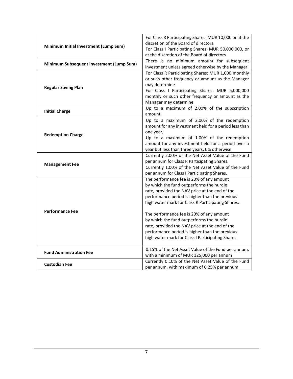| Minimum Initial Investment (Lump Sum)    | For Class R Participating Shares: MUR 10,000 or at the<br>discretion of the Board of directors.<br>For Class I Participating Shares: MUR 50,000,000, or<br>at the discretion of the Board of directors.                                                                                                                                                                                                                                                                                        |
|------------------------------------------|------------------------------------------------------------------------------------------------------------------------------------------------------------------------------------------------------------------------------------------------------------------------------------------------------------------------------------------------------------------------------------------------------------------------------------------------------------------------------------------------|
| Minimum Subsequent Investment (Lump Sum) | There is no minimum amount for subsequent<br>investment unless agreed otherwise by the Manager.                                                                                                                                                                                                                                                                                                                                                                                                |
| <b>Regular Saving Plan</b>               | For Class R Participating Shares: MUR 1,000 monthly<br>or such other frequency or amount as the Manager<br>may determine<br>For Class I Participating Shares: MUR 5,000,000<br>monthly or such other frequency or amount as the<br>Manager may determine                                                                                                                                                                                                                                       |
| <b>Initial Charge</b>                    | Up to a maximum of 2.00% of the subscription<br>amount                                                                                                                                                                                                                                                                                                                                                                                                                                         |
| <b>Redemption Charge</b>                 | Up to a maximum of 2.00% of the redemption<br>amount for any investment held for a period less than<br>one year,<br>Up to a maximum of 1.00% of the redemption<br>amount for any investment held for a period over a<br>year but less than three years. 0% otherwise                                                                                                                                                                                                                           |
| <b>Management Fee</b>                    | Currently 2.00% of the Net Asset Value of the Fund<br>per annum for Class R Participating Shares.<br>Currently 1.00% of the Net Asset Value of the Fund<br>per annum for Class I Participating Shares.                                                                                                                                                                                                                                                                                         |
| <b>Performance Fee</b>                   | The performance fee is 20% of any amount<br>by which the fund outperforms the hurdle<br>rate, provided the NAV price at the end of the<br>performance period is higher than the previous<br>high water mark for Class R Participating Shares.<br>The performance fee is 20% of any amount<br>by which the fund outperforms the hurdle<br>rate, provided the NAV price at the end of the<br>performance period is higher than the previous<br>high water mark for Class I Participating Shares. |
| <b>Fund Administration Fee</b>           | 0.15% of the Net Asset Value of the Fund per annum,<br>with a minimum of MUR 125,000 per annum                                                                                                                                                                                                                                                                                                                                                                                                 |
| <b>Custodian Fee</b>                     | Currently 0.10% of the Net Asset Value of the Fund<br>per annum, with maximum of 0.25% per annum                                                                                                                                                                                                                                                                                                                                                                                               |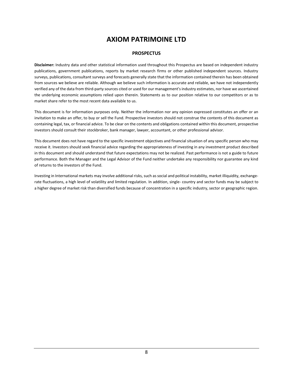# **AXIOM PATRIMOINE LTD**

#### **PROSPECTUS**

**Disclaimer:** Industry data and other statistical information used throughout this Prospectus are based on independent industry publications, government publications, reports by market research firms or other published independent sources. Industry surveys, publications, consultant surveys and forecasts generally state that the information contained therein has been obtained from sources we believe are reliable. Although we believe such information is accurate and reliable, we have not independently verified any of the data from third-party sources cited or used for our management's industry estimates, nor have we ascertained the underlying economic assumptions relied upon therein. Statements as to our position relative to our competitors or as to market share refer to the most recent data available to us.

This document is for information purposes only. Neither the information nor any opinion expressed constitutes an offer or an invitation to make an offer, to buy or sell the Fund. Prospective investors should not construe the contents of this document as containing legal, tax, or financial advice. To be clear on the contents and obligations contained within this document, prospective investors should consult their stockbroker, bank manager, lawyer, accountant, or other professional advisor.

This document does not have regard to the specific investment objectives and financial situation of any specific person who may receive it. Investors should seek financial advice regarding the appropriateness of investing in any investment product described in this document and should understand that future expectations may not be realized. Past performance is not a guide to future performance. Both the Manager and the Legal Advisor of the Fund neither undertake any responsibility nor guarantee any kind of returns to the investors of the Fund.

Investing in International markets may involve additional risks, such as social and political instability, market illiquidity, exchangerate fluctuations, a high level of volatility and limited regulation. In addition, single- country and sector funds may be subject to a higher degree of market risk than diversified funds because of concentration in a specific industry, sector or geographic region.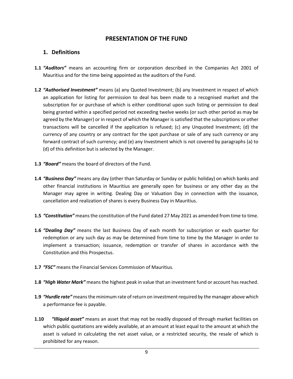# **PRESENTATION OF THE FUND**

# <span id="page-8-1"></span><span id="page-8-0"></span>**1. Definitions**

- **1.1** *"Auditors"* means an accounting firm or corporation described in the Companies Act 2001 of Mauritius and for the time being appointed as the auditors of the Fund.
- **1.2** *"Authorised Investment"* means (a) any Quoted Investment; (b) any Investment in respect of which an application for listing for permission to deal has been made to a recognised market and the subscription for or purchase of which is either conditional upon such listing or permission to deal being granted within a specified period not exceeding twelve weeks (or such other period as may be agreed by the Manager) or in respect of which the Manager is satisfied that the subscriptions or other transactions will be cancelled if the application is refused; (c) any Unquoted Investment; (d) the currency of any country or any contract for the spot purchase or sale of any such currency or any forward contract of such currency; and (e) any Investment which is not covered by paragraphs (a) to (d) of this definition but is selected by the Manager.
- **1.3** *"Board"* means the board of directors of the Fund.
- **1.4** *"Business Day"* means any day (other than Saturday or Sunday or public holiday) on which banks and other financial institutions in Mauritius are generally open for business or any other day as the Manager may agree in writing. Dealing Day or Valuation Day in connection with the issuance, cancellation and realization of shares is every Business Day in Mauritius.
- **1.5** *"Constitution"* means the constitution of the Fund dated 27 May 2021 as amended from time to time.
- **1.6** *"Dealing Day"* means the last Business Day of each month for subscription or each quarter for redemption or any such day as may be determined from time to time by the Manager in order to implement a transaction; issuance, redemption or transfer of shares in accordance with the Constitution and this Prospectus.
- **1.7** *"FSC"* means the Financial Services Commission of Mauritius.
- **1.8** *"High Water Mark"* means the highest peak in value that an investment fund or account has reached.
- **1.9** *"Hurdle rate"* means the minimum rate of return on investment required by the manager above which a performance fee is payable.
- **1.10** *"Illiquid asset"* means an asset that may not be readily disposed of through market facilities on which public quotations are widely available, at an amount at least equal to the amount at which the asset is valued in calculating the net asset value, or a restricted security, the resale of which is prohibited for any reason.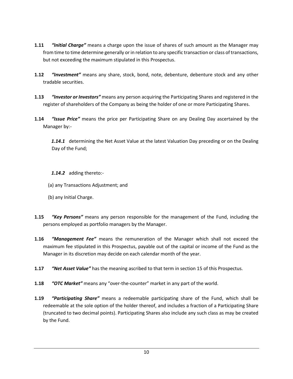- **1.11** *"Initial Charge"* means a charge upon the issue of shares of such amount as the Manager may from time to time determine generally or in relation to any specific transaction or class of transactions, but not exceeding the maximum stipulated in this Prospectus.
- **1.12** *"Investment"* means any share, stock, bond, note, debenture, debenture stock and any other tradable securities.
- **1.13** *"Investor or Investors"* means any person acquiring the Participating Shares and registered in the register of shareholders of the Company as being the holder of one or more Participating Shares.
- **1.14** *"Issue Price"* means the price per Participating Share on any Dealing Day ascertained by the Manager by:-

*1.14.1* determining the Net Asset Value at the latest Valuation Day preceding or on the Dealing Day of the Fund;

### *1.14.2* adding thereto:-

- (a) any Transactions Adjustment; and
- (b) any Initial Charge.
- **1.15** *"Key Persons"* means any person responsible for the management of the Fund, including the persons employed as portfolio managers by the Manager.
- **1.16** *"Management Fee"* means the remuneration of the Manager which shall not exceed the maximum fee stipulated in this Prospectus, payable out of the capital or income of the Fund as the Manager in its discretion may decide on each calendar month of the year.
- **1.17** *"Net Asset Value"* has the meaning ascribed to that term in section 15 of this Prospectus.
- **1.18** *"OTC Market"* means any "over-the-counter" market in any part of the world.
- **1.19** *"Participating Share"* means a redeemable participating share of the Fund, which shall be redeemable at the sole option of the holder thereof, and includes a fraction of a Participating Share (truncated to two decimal points). Participating Shares also include any such class as may be created by the Fund.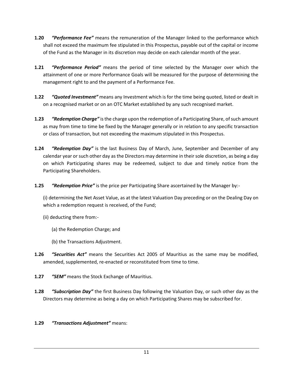- **1.20** *"Performance Fee"* means the remuneration of the Manager linked to the performance which shall not exceed the maximum fee stipulated in this Prospectus, payable out of the capital or income of the Fund as the Manager in its discretion may decide on each calendar month of the year.
- **1.21** *"Performance Period"* means the period of time selected by the Manager over which the attainment of one or more Performance Goals will be measured for the purpose of determining the management right to and the payment of a Performance Fee.
- **1.22** *"Quoted Investment"* means any Investment which is for the time being quoted, listed or dealt in on a recognised market or on an OTC Market established by any such recognised market.
- **1.23** *"Redemption Charge"* is the charge upon the redemption of a Participating Share, of such amount as may from time to time be fixed by the Manager generally or in relation to any specific transaction or class of transaction, but not exceeding the maximum stipulated in this Prospectus.
- **1.24** *"Redemption Day"* is the last Business Day of March, June, September and December of any calendar year or such other day as the Directors may determine in their sole discretion, as being a day on which Participating shares may be redeemed, subject to due and timely notice from the Participating Shareholders.
- **1.25** *"Redemption Price"* is the price per Participating Share ascertained by the Manager by:-

(i) determining the Net Asset Value, as at the latest Valuation Day preceding or on the Dealing Day on which a redemption request is received, of the Fund;

- (ii) deducting there from:-
	- (a) the Redemption Charge; and
	- (b) the Transactions Adjustment.
- **1.26** *"Securities Act"* means the Securities Act 2005 of Mauritius as the same may be modified, amended, supplemented, re-enacted or reconstituted from time to time.
- **1.27** *"SEM"* means the Stock Exchange of Mauritius.
- **1.28** *"Subscription Day"* the first Business Day following the Valuation Day, or such other day as the Directors may determine as being a day on which Participating Shares may be subscribed for.

# **1.29** *"Transactions Adjustment"* means: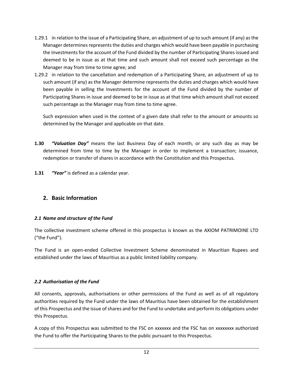- 1.29.1 in relation to the issue of a Participating Share, an adjustment of up to such amount (if any) as the Manager determines represents the duties and charges which would have been payable in purchasing the Investments for the account of the Fund divided by the number of Participating Shares issued and deemed to be in issue as at that time and such amount shall not exceed such percentage as the Manager may from time to time agree; and
- 1.29.2 in relation to the cancellation and redemption of a Participating Share, an adjustment of up to such amount (if any) as the Manager determine represents the duties and charges which would have been payable in selling the Investments for the account of the Fund divided by the number of Participating Shares in issue and deemed to be in issue as at that time which amount shall not exceed such percentage as the Manager may from time to time agree.

Such expression when used in the context of a given date shall refer to the amount or amounts so determined by the Manager and applicable on that date.

- **1.30** *"Valuation Day"* means the last Business Day of each month, or any such day as may be determined from time to time by the Manager in order to implement a transaction; issuance, redemption or transfer of shares in accordance with the Constitution and this Prospectus.
- **1.31** *"Year"* is defined as a calendar year.

# <span id="page-11-0"></span>**2. Basic Information**

# *2.1 Name and structure of the Fund*

The collective investment scheme offered in this prospectus is known as the AXIOM PATRIMOINE LTD ("the Fund").

The Fund is an open-ended Collective Investment Scheme denominated in Mauritian Rupees and established under the laws of Mauritius as a public limited liability company.

# *2.2 Authorisation of the Fund*

All consents, approvals, authorisations or other permissions of the Fund as well as of all regulatory authorities required by the Fund under the laws of Mauritius have been obtained for the establishment of this Prospectus and the issue of shares and for the Fund to undertake and perform its obligations under this Prospectus.

A copy of this Prospectus was submitted to the FSC on xxxxxxx and the FSC has on xxxxxxxx authorized the Fund to offer the Participating Shares to the public pursuant to this Prospectus.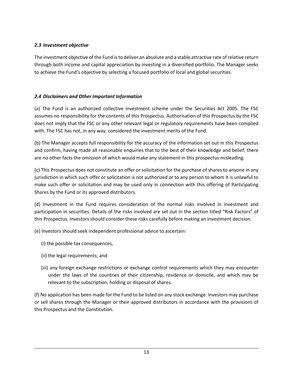# *2.3 Investment objective*

The investment objective of the Fund is to deliver an absolute and a stable attractive rate of relative return through both income and capital appreciation by investing in a diversified portfolio. The Manager seeks to achieve the Fund's objective by selecting a focused portfolio of local and global securities.

# *2.4 Disclaimers and Other Important Information*

(a) The Fund is an authorized collective investment scheme under the Securities Act 2005. The FSC assumes no responsibility for the contents of this Prospectus. Authorisation of this Prospectus by the FSC does not imply that the FSC or any other relevant legal or regulatory requirements have been complied with. The FSC has not, in any way, considered the investment merits of the Fund.

(b) The Manager accepts full responsibility for the accuracy of the information set out in this Prospectus and confirm, having made all reasonable enquiries that to the best of their knowledge and belief, there are no other facts the omission of which would make any statement in this prospectus misleading.

(c) This Prospectus does not constitute an offer or solicitation for the purchase of shares to anyone in any jurisdiction in which such offer or solicitation is not authorized or to any person to whom it is unlawful to make such offer or solicitation and may be used only in connection with this offering of Participating Shares by the Fund or its approved distributors.

(d) Investment in the Fund requires consideration of the normal risks involved in investment and participation in securities. Details of the risks involved are set out in the section titled "Risk Factors" of this Prospectus. Investors should consider these risks carefully before making an investment decision.

(e) Investors should seek independent professional advice to ascertain:

- (i) the possible tax consequences,
- (ii) the legal requirements; and
- (iii) any foreign exchange restrictions or exchange control requirements which they may encounter under the laws of the countries of their citizenship, residence or domicile, and which may be relevant to the subscription, holding or disposal of shares.

(f) No application has been made for the Fund to be listed on any stock exchange. Investors may purchase or sell shares through the Manager or their approved distributors in accordance with the provisions of this Prospectus and the Constitution.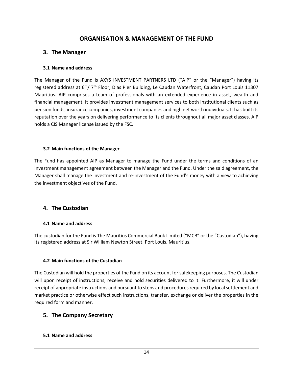# **ORGANISATION & MANAGEMENT OF THE FUND**

# <span id="page-13-1"></span><span id="page-13-0"></span>**3. The Manager**

### **3.1 Name and address**

The Manager of the Fund is AXYS INVESTMENT PARTNERS LTD ("AIP" or the "Manager") having its registered address at 6<sup>th</sup>/ 7<sup>th</sup> Floor, Dias Pier Building, Le Caudan Waterfront, Caudan Port Louis 11307 Mauritius. AIP comprises a team of professionals with an extended experience in asset, wealth and financial management. It provides investment management services to both institutional clients such as pension funds, insurance companies, investment companies and high net worth individuals. It has built its reputation over the years on delivering performance to its clients throughout all major asset classes. AIP holds a CIS Manager license issued by the FSC.

### **3.2 Main functions of the Manager**

The Fund has appointed AIP as Manager to manage the Fund under the terms and conditions of an investment management agreement between the Manager and the Fund. Under the said agreement, the Manager shall manage the investment and re-investment of the Fund's money with a view to achieving the investment objectives of the Fund.

# <span id="page-13-2"></span>**4. The Custodian**

# **4.1 Name and address**

The custodian for the Fund is The Mauritius Commercial Bank Limited ("MCB" or the "Custodian"), having its registered address at Sir William Newton Street, Port Louis, Mauritius.

# **4.2 Main functions of the Custodian**

The Custodian will hold the properties of the Fund on its account for safekeeping purposes. The Custodian will upon receipt of instructions, receive and hold securities delivered to it. Furthermore, it will under receipt of appropriate instructions and pursuant to steps and procedures required by local settlement and market practice or otherwise effect such instructions, transfer, exchange or deliver the properties in the required form and manner.

# <span id="page-13-3"></span>**5. The Company Secretary**

### **5.1 Name and address**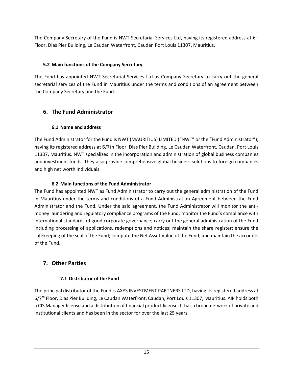The Company Secretary of the Fund is NWT Secretarial Services Ltd, having its registered address at  $6<sup>th</sup>$ Floor, Dias Pier Building, Le Caudan Waterfront, Caudan Port Louis 11307, Mauritius.

# **5.2 Main functions of the Company Secretary**

The Fund has appointed NWT Secretarial Services Ltd as Company Secretary to carry out the general secretarial services of the Fund in Mauritius under the terms and conditions of an agreement between the Company Secretary and the Fund.

# <span id="page-14-0"></span>**6. The Fund Administrator**

# **6.1 Name and address**

The Fund Administrator for the Fund is NWT (MAURITIUS) LIMITED ("NWT" or the "Fund Administrator"), having its registered address at 6/7th Floor, Dias Pier Building, Le Caudan Waterfront, Caudan, Port Louis 11307, Mauritius. NWT specializes in the incorporation and administration of global business companies and investment funds. They also provide comprehensive global business solutions to foreign companies and high net worth individuals.

# **6.2 Main functions of the Fund Administrator**

The Fund has appointed NWT as Fund Administrator to carry out the general administration of the Fund in Mauritius under the terms and conditions of a Fund Administration Agreement between the Fund Administrator and the Fund. Under the said agreement, the Fund Administrator will monitor the antimoney laundering and regulatory compliance programs of the Fund; monitor the Fund's compliance with international standards of good corporate governance; carry out the general administration of the Fund including processing of applications, redemptions and notices; maintain the share register; ensure the safekeeping of the seal of the Fund; compute the Net Asset Value of the Fund; and maintain the accounts of the Fund.

# <span id="page-14-1"></span>**7. Other Parties**

# **7.1 Distributor of the Fund**

The principal distributor of the Fund is AXYS INVESTMENT PARTNERS LTD, having its registered address at 6/7th Floor, Dias Pier Building, Le Caudan Waterfront, Caudan, Port Louis 11307, Mauritius. AIP holds both a CIS Manager license and a distribution of financial product license. It has a broad network of private and institutional clients and has been in the sector for over the last 25 years.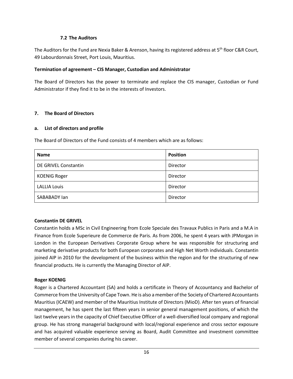### **7.2 The Auditors**

The Auditors for the Fund are Nexia Baker & Arenson, having its registered address at 5<sup>th</sup> floor C&R Court, 49 Labourdonnais Street, Port Louis, Mauritius.

### **Termination of agreement – CIS Manager, Custodian and Administrator**

The Board of Directors has the power to terminate and replace the CIS manager, Custodian or Fund Administrator if they find it to be in the interests of Investors.

# **7. The Board of Directors**

### **a. List of directors and profile**

The Board of Directors of the Fund consists of 4 members which are as follows:

| <b>Name</b>          | <b>Position</b> |
|----------------------|-----------------|
| DE GRIVEL Constantin | Director        |
| <b>KOENIG Roger</b>  | Director        |
| <b>LALLIA Louis</b>  | Director        |
| SABABADY lan         | Director        |

# **Constantin DE GRIVEL**

Constantin holds a MSc in Civil Engineering from Ecole Speciale des Travaux Publics in Paris and a M.A in Finance from Ecole Superieure de Commerce de Paris. As from 2006, he spent 4 years with JPMorgan in London in the European Derivatives Corporate Group where he was responsible for structuring and marketing derivative products for both European corporates and High Net Worth individuals. Constantin joined AIP in 2010 for the development of the business within the region and for the structuring of new financial products. He is currently the Managing Director of AIP.

# **Roger KOENIG**

Roger is a Chartered Accountant (SA) and holds a certificate in Theory of Accountancy and Bachelor of Commerce from the University of Cape Town. He is also a member of the Society of Chartered Accountants Mauritius (ICAEW) and member of the Mauritius Institute of Directors (MioD). After ten years of financial management, he has spent the last fifteen years in senior general management positions, of which the last twelve years in the capacity of Chief Executive Officer of a well-diversified local company and regional group. He has strong managerial background with local/regional experience and cross sector exposure and has acquired valuable experience serving as Board, Audit Committee and investment committee member of several companies during his career.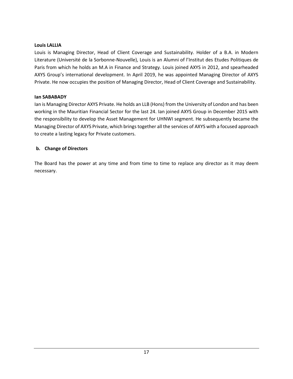### **Louis LALLIA**

Louis is Managing Director, Head of Client Coverage and Sustainability. Holder of a B.A. in Modern Literature (Université de la Sorbonne-Nouvelle), Louis is an Alumni of l'Institut des Etudes Politiques de Paris from which he holds an M.A in Finance and Strategy. Louis joined AXYS in 2012, and spearheaded AXYS Group's international development. In April 2019, he was appointed Managing Director of AXYS Private. He now occupies the position of Managing Director, Head of Client Coverage and Sustainability.

### **Ian SABABADY**

Ian is Managing Director AXYS Private. He holds an LLB (Hons) from the University of London and has been working in the Mauritian Financial Sector for the last 24. Ian joined AXYS Group in December 2015 with the responsibility to develop the Asset Management for UHNWI segment. He subsequently became the Managing Director of AXYS Private, which brings together all the services of AXYS with a focused approach to create a lasting legacy for Private customers.

# **b. Change of Directors**

The Board has the power at any time and from time to time to replace any director as it may deem necessary.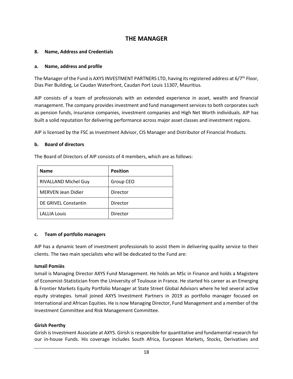# **THE MANAGER**

### <span id="page-17-0"></span>**8. Name, Address and Credentials**

#### **a. Name, address and profile**

The Manager of the Fund is AXYS INVESTMENT PARTNERS LTD, having its registered address at 6/7<sup>th</sup> Floor, Dias Pier Building, Le Caudan Waterfront, Caudan Port Louis 11307, Mauritius.

AIP consists of a team of professionals with an extended experience in asset, wealth and financial management. The company provides investment and fund management services to both corporates such as pension funds, insurance companies, investment companies and High Net Worth individuals. AIP has built a solid reputation for delivering performance across major asset classes and investment regions.

AIP is licensed by the FSC as Investment Advisor, CIS Manager and Distributor of Financial Products.

#### **b. Board of directors**

The Board of Directors of AIP consists of 4 members, which are as follows:

| <b>Name</b>               | <b>Position</b> |
|---------------------------|-----------------|
| RIVALLAND Michel Guy      | Group CEO       |
| <b>MERVEN Jean Didier</b> | Director        |
| DE GRIVEL Constantin      | Director        |
| <b>LALLIA Louis</b>       | Director        |

### **c. Team of portfolio managers**

AIP has a dynamic team of investment professionals to assist them in delivering quality service to their clients. The two main specialists who will be dedicated to the Fund are:

### **Ismaïl Pomiès**

Ismaïl is Managing Director AXYS Fund Management. He holds an MSc in Finance and holds a Magistere of Economist-Statistician from the University of Toulouse in France. He started his career as an Emerging & Frontier Markets Equity Portfolio Manager at State Street Global Advisors where he led several active equity strategies. Ismail joined AXYS Investment Partners in 2019 as portfolio manager focused on International and African Equities. He is now Managing Director, Fund Management and a member of the Investment Committee and Risk Management Committee.

### **Girish Peerthy**

Girish is Investment Associate at AXYS. Girish is responsible for quantitative and fundamental research for our in-house Funds. His coverage includes South Africa, European Markets, Stocks, Derivatives and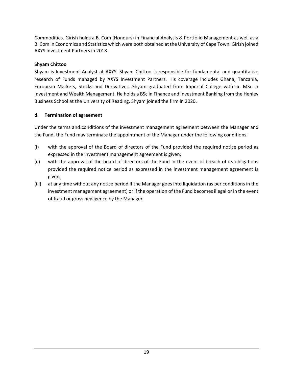Commodities. Girish holds a B. Com (Honours) in Financial Analysis & Portfolio Management as well as a B. Com in Economics and Statistics which were both obtained at the University of Cape Town. Girish joined AXYS Investment Partners in 2018.

# **Shyam Chittoo**

Shyam is Investment Analyst at AXYS. Shyam Chittoo is responsible for fundamental and quantitative research of Funds managed by AXYS Investment Partners. His coverage includes Ghana, Tanzania, European Markets, Stocks and Derivatives. Shyam graduated from Imperial College with an MSc in Investment and Wealth Management. He holds a BSc in Finance and Investment Banking from the Henley Business School at the University of Reading. Shyam joined the firm in 2020.

# **d. Termination of agreement**

Under the terms and conditions of the investment management agreement between the Manager and the Fund, the Fund may terminate the appointment of the Manager under the following conditions:

- (i) with the approval of the Board of directors of the Fund provided the required notice period as expressed in the investment management agreement is given;
- (ii) with the approval of the board of directors of the Fund in the event of breach of its obligations provided the required notice period as expressed in the investment management agreement is given;
- (iii) at any time without any notice period if the Manager goes into liquidation (as per conditions in the investment management agreement) or if the operation of the Fund becomes illegal or in the event of fraud or gross negligence by the Manager.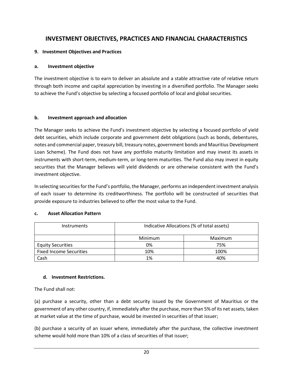# <span id="page-19-0"></span>**INVESTMENT OBJECTIVES, PRACTICES AND FINANCIAL CHARACTERISTICS**

### **9. Investment Objectives and Practices**

### **a. Investment objective**

The investment objective is to earn to deliver an absolute and a stable attractive rate of relative return through both income and capital appreciation by investing in a diversified portfolio. The Manager seeks to achieve the Fund's objective by selecting a focused portfolio of local and global securities.

### **b. Investment approach and allocation**

The Manager seeks to achieve the Fund's investment objective by selecting a focused portfolio of yield debt securities, which include corporate and government debt obligations (such as bonds, debentures, notes and commercial paper, treasury bill, treasury notes, government bonds and Mauritius Development Loan Scheme). The Fund does not have any portfolio maturity limitation and may invest its assets in instruments with short-term, medium-term, or long-term maturities. The Fund also may invest in equity securities that the Manager believes will yield dividends or are otherwise consistent with the Fund's investment objective.

In selecting securities for the Fund's portfolio, the Manager, performs an independent investment analysis of each issuer to determine its creditworthiness. The portfolio will be constructed of securities that provide exposure to industries believed to offer the most value to the Fund.

### **c. Asset Allocation Pattern**

| <b>Instruments</b>             | Indicative Allocations (% of total assets) |         |
|--------------------------------|--------------------------------------------|---------|
|                                | Minimum                                    | Maximum |
| <b>Equity Securities</b>       | 0%                                         | 75%     |
| <b>Fixed Income Securities</b> | 10%                                        | 100%    |
| Cash                           | 1%                                         | 40%     |

# **d. Investment Restrictions.**

The Fund shall not:

(a) purchase a security, other than a debt security issued by the Government of Mauritius or the government of any other country, if, immediately after the purchase, more than 5% of its net assets, taken at market value at the time of purchase, would be invested in securities of that issuer;

(b) purchase a security of an issuer where, immediately after the purchase, the collective investment scheme would hold more than 10% of a class of securities of that issuer;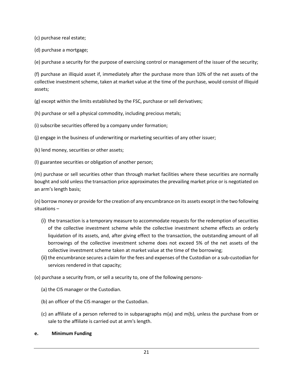(c) purchase real estate;

(d) purchase a mortgage;

(e) purchase a security for the purpose of exercising control or management of the issuer of the security;

(f) purchase an illiquid asset if, immediately after the purchase more than 10% of the net assets of the collective investment scheme, taken at market value at the time of the purchase, would consist of illiquid assets;

(g) except within the limits established by the FSC, purchase or sell derivatives;

(h) purchase or sell a physical commodity, including precious metals;

(i) subscribe securities offered by a company under formation;

(j) engage in the business of underwriting or marketing securities of any other issuer;

- (k) lend money, securities or other assets;
- (l) guarantee securities or obligation of another person;

(m) purchase or sell securities other than through market facilities where these securities are normally bought and sold unless the transaction price approximates the prevailing market price or is negotiated on an arm's length basis;

(n) borrow money or provide for the creation of any encumbrance on its assets except in the two following situations –

- (i) the transaction is a temporary measure to accommodate requests for the redemption of securities of the collective investment scheme while the collective investment scheme effects an orderly liquidation of its assets, and, after giving effect to the transaction, the outstanding amount of all borrowings of the collective investment scheme does not exceed 5% of the net assets of the collective investment scheme taken at market value at the time of the borrowing;
- (ii) the encumbrance secures a claim for the fees and expenses of the Custodian or a sub-custodian for services rendered in that capacity;

(o) purchase a security from, or sell a security to, one of the following persons-

- (a) the CIS manager or the Custodian.
- (b) an officer of the CIS manager or the Custodian.
- (c) an affiliate of a person referred to in subparagraphs m(a) and m(b), unless the purchase from or sale to the affiliate is carried out at arm's length.
- **e. Minimum Funding**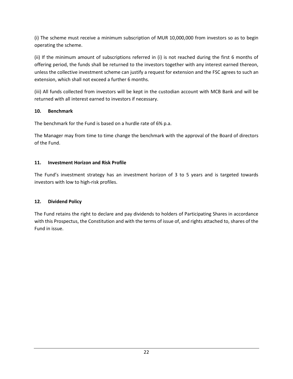(i) The scheme must receive a minimum subscription of MUR 10,000,000 from investors so as to begin operating the scheme.

(ii) If the minimum amount of subscriptions referred in (i) is not reached during the first 6 months of offering period, the funds shall be returned to the investors together with any interest earned thereon, unless the collective investment scheme can justify a request for extension and the FSC agrees to such an extension, which shall not exceed a further 6 months.

(iii) All funds collected from investors will be kept in the custodian account with MCB Bank and will be returned with all interest earned to investors if necessary.

# **10. Benchmark**

The benchmark for the Fund is based on a hurdle rate of 6% p.a.

The Manager may from time to time change the benchmark with the approval of the Board of directors of the Fund.

# **11. Investment Horizon and Risk Profile**

The Fund's investment strategy has an investment horizon of 3 to 5 years and is targeted towards investors with low to high-risk profiles.

# **12. Dividend Policy**

The Fund retains the right to declare and pay dividends to holders of Participating Shares in accordance with this Prospectus, the Constitution and with the terms of issue of, and rights attached to, shares of the Fund in issue.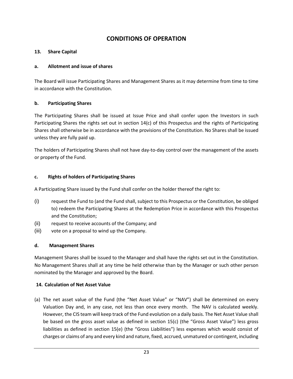# **CONDITIONS OF OPERATION**

### <span id="page-22-0"></span>**13. Share Capital**

### **a. Allotment and issue of shares**

The Board will issue Participating Shares and Management Shares as it may determine from time to time in accordance with the Constitution.

### **b. Participating Shares**

The Participating Shares shall be issued at Issue Price and shall confer upon the Investors in such Participating Shares the rights set out in section 14(c) of this Prospectus and the rights of Participating Shares shall otherwise be in accordance with the provisions of the Constitution. No Shares shall be issued unless they are fully paid up.

The holders of Participating Shares shall not have day-to-day control over the management of the assets or property of the Fund.

### **c. Rights of holders of Participating Shares**

A Participating Share issued by the Fund shall confer on the holder thereof the right to:

- (i) request the Fund to (and the Fund shall, subject to this Prospectus or the Constitution, be obliged to) redeem the Participating Shares at the Redemption Price in accordance with this Prospectus and the Constitution;
- (ii) request to receive accounts of the Company; and
- (iii) vote on a proposal to wind up the Company.

# **d. Management Shares**

Management Shares shall be issued to the Manager and shall have the rights set out in the Constitution. No Management Shares shall at any time be held otherwise than by the Manager or such other person nominated by the Manager and approved by the Board.

### **14. Calculation of Net Asset Value**

(a) The net asset value of the Fund (the "Net Asset Value" or "NAV") shall be determined on every Valuation Day and, in any case, not less than once every month. The NAV is calculated weekly. However, the CIS team will keep track of the Fund evolution on a daily basis. The Net Asset Value shall be based on the gross asset value as defined in section 15(c) (the "Gross Asset Value") less gross liabilities as defined in section 15(e) (the "Gross Liabilities") less expenses which would consist of charges or claims of any and every kind and nature, fixed, accrued, unmatured or contingent, including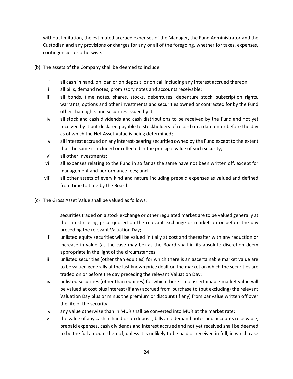without limitation, the estimated accrued expenses of the Manager, the Fund Administrator and the Custodian and any provisions or charges for any or all of the foregoing, whether for taxes, expenses, contingencies or otherwise.

- (b) The assets of the Company shall be deemed to include:
	- i. all cash in hand, on loan or on deposit, or on call including any interest accrued thereon;
	- ii. all bills, demand notes, promissory notes and accounts receivable;
	- iii. all bonds, time notes, shares, stocks, debentures, debenture stock, subscription rights, warrants, options and other investments and securities owned or contracted for by the Fund other than rights and securities issued by it;
	- iv. all stock and cash dividends and cash distributions to be received by the Fund and not yet received by it but declared payable to stockholders of record on a date on or before the day as of which the Net Asset Value is being determined;
	- v. all interest accrued on any interest-bearing securities owned by the Fund except to the extent that the same is included or reflected in the principal value of such security;
	- vi. all other Investments;
	- vii. all expenses relating to the Fund in so far as the same have not been written off, except for management and performance fees; and
	- viii. all other assets of every kind and nature including prepaid expenses as valued and defined from time to time by the Board.
- (c) The Gross Asset Value shall be valued as follows:
	- i. securities traded on a stock exchange or other regulated market are to be valued generally at the latest closing price quoted on the relevant exchange or market on or before the day preceding the relevant Valuation Day;
	- ii. unlisted equity securities will be valued initially at cost and thereafter with any reduction or increase in value (as the case may be) as the Board shall in its absolute discretion deem appropriate in the light of the circumstances;
	- iii. unlisted securities (other than equities) for which there is an ascertainable market value are to be valued generally at the last known price dealt on the market on which the securities are traded on or before the day preceding the relevant Valuation Day;
	- iv. unlisted securities (other than equities) for which there is no ascertainable market value will be valued at cost plus interest (if any) accrued from purchase to (but excluding) the relevant Valuation Day plus or minus the premium or discount (if any) from par value written off over the life of the security;
	- v. any value otherwise than in MUR shall be converted into MUR at the market rate;
	- vi. the value of any cash in hand or on deposit, bills and demand notes and accounts receivable, prepaid expenses, cash dividends and interest accrued and not yet received shall be deemed to be the full amount thereof, unless it is unlikely to be paid or received in full, in which case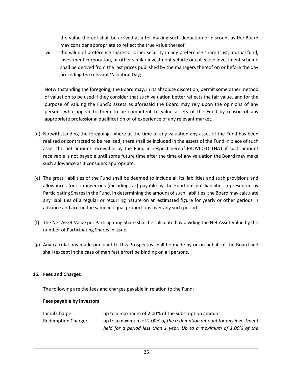the value thereof shall be arrived at after making such deduction or discount as the Board may consider appropriate to reflect the true value thereof;

vii. the value of preference shares or other security in any preference share trust, mutual fund, investment corporation, or other similar investment vehicle or collective investment scheme shall be derived from the last prices published by the managers thereof on or before the day preceding the relevant Valuation Day;

Notwithstanding the foregoing, the Board may, in its absolute discretion, permit some other method of valuation to be used if they consider that such valuation better reflects the fair value, and for the purpose of valuing the Fund's assets as aforesaid the Board may rely upon the opinions of any persons who appear to them to be competent to value assets of the Fund by reason of any appropriate professional qualification or of experience of any relevant market.

- (d) Notwithstanding the foregoing, where at the time of any valuation any asset of the Fund has been realised or contracted to be realised, there shall be included in the assets of the Fund in place of such asset the net amount receivable by the Fund in respect hereof PROVIDED THAT if such amount receivable is not payable until some future time after the time of any valuation the Board may make such allowance as it considers appropriate.
- (e) The gross liabilities of the Fund shall be deemed to include all its liabilities and such provisions and allowances for contingencies (including tax) payable by the Fund but not liabilities represented by Participating Shares in the Fund. In determining the amount of such liabilities, the Board may calculate any liabilities of a regular or recurring nature on an estimated figure for yearly or other periods in advance and accrue the same in equal proportions over any such period.
- (f) The Net Asset Value per Participating Share shall be calculated by dividing the Net Asset Value by the number of Participating Shares in issue.
- (g) Any calculations made pursuant to this Prospectus shall be made by or on behalf of the Board and shall (except in the case of manifest error) be binding on all persons.

### **15. Fees and Charges**

The following are the fees and charges payable in relation to the Fund:

### **Fees payable by Investors**

| Initial Charge:           | up to a maximum of 2.00% of the subscription amount.                 |
|---------------------------|----------------------------------------------------------------------|
| <b>Redemption Charge:</b> | up to a maximum of 2.00% of the redemption amount for any investment |
|                           | held for a period less than 1 year. Up to a maximum of 1.00% of the  |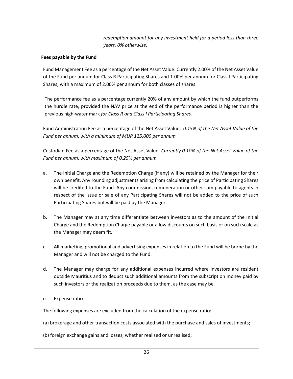*redemption amount for any investment held for a period less than three years. 0% otherwise.*

### **Fees payable by the Fund**

Fund Management Fee as a percentage of the Net Asset Value: Currently 2.00% of the Net Asset Value of the Fund per annum for Class R Participating Shares and 1.00% per annum for Class I Participating Shares, with a maximum of 2.00% per annum for both classes of shares.

The performance fee as a percentage currently 20% of any amount by which the fund outperforms the hurdle rate, provided the NAV price at the end of the performance period is higher than the previous high-water mark *for Class R and Class I Participating Shares.*

Fund Administration Fee as a percentage of the Net Asset Value: *0.15% of the Net Asset Value of the Fund per annum, with a minimum of MUR 125,000 per annum*

Custodian Fee as a percentage of the Net Asset Value: *Currently 0.10% of the Net Asset Value of the Fund per annum, with maximum of 0.25% per annum*

- a. The Initial Charge and the Redemption Charge (if any) will be retained by the Manager for their own benefit. Any rounding adjustments arising from calculating the price of Participating Shares will be credited to the Fund. Any commission, remuneration or other sum payable to agents in respect of the issue or sale of any Participating Shares will not be added to the price of such Participating Shares but will be paid by the Manager.
- b. The Manager may at any time differentiate between investors as to the amount of the Initial Charge and the Redemption Charge payable or allow discounts on such basis or on such scale as the Manager may deem fit.
- c. All marketing, promotional and advertising expenses in relation to the Fund will be borne by the Manager and will not be charged to the Fund.
- d. The Manager may charge for any additional expenses incurred where investors are resident outside Mauritius and to deduct such additional amounts from the subscription money paid by such investors or the realization proceeds due to them, as the case may be.
- e. Expense ratio

The following expenses are excluded from the calculation of the expense ratio:

- (a) brokerage and other transaction costs associated with the purchase and sales of investments;
- (b) foreign exchange gains and losses, whether realised or unrealised;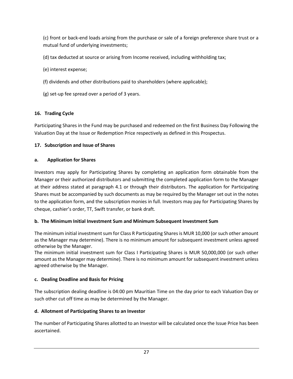(c) front or back-end loads arising from the purchase or sale of a foreign preference share trust or a mutual fund of underlying investments;

- (d) tax deducted at source or arising from Income received, including withholding tax;
- (e) interest expense;
- (f) dividends and other distributions paid to shareholders (where applicable);
- (g) set-up fee spread over a period of 3 years.

# **16. Trading Cycle**

Participating Shares in the Fund may be purchased and redeemed on the first Business Day Following the Valuation Day at the Issue or Redemption Price respectively as defined in this Prospectus.

# **17. Subscription and Issue of Shares**

# **a. Application for Shares**

Investors may apply for Participating Shares by completing an application form obtainable from the Manager or their authorized distributors and submitting the completed application form to the Manager at their address stated at paragraph 4.1 or through their distributors. The application for Participating Shares must be accompanied by such documents as may be required by the Manager set out in the notes to the application form, and the subscription monies in full. Investors may pay for Participating Shares by cheque, cashier's order, TT, Swift transfer, or bank draft.

# **b. The Minimum Initial Investment Sum and Minimum Subsequent Investment Sum**

The minimum initial investment sum for Class R Participating Shares is MUR 10,000 (or such other amount as the Manager may determine). There is no minimum amount for subsequent investment unless agreed otherwise by the Manager.

The minimum initial investment sum for Class I Participating Shares is MUR 50,000,000 (or such other amount as the Manager may determine). There is no minimum amount for subsequent investment unless agreed otherwise by the Manager.

# **c. Dealing Deadline and Basis for Pricing**

The subscription dealing deadline is 04:00 pm Mauritian Time on the day prior to each Valuation Day or such other cut off time as may be determined by the Manager.

# **d. Allotment of Participating Shares to an Investor**

The number of Participating Shares allotted to an Investor will be calculated once the Issue Price has been ascertained.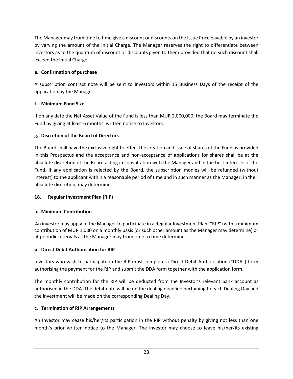The Manager may from time to time give a discount or discounts on the Issue Price payable by an investor by varying the amount of the Initial Charge. The Manager reserves the right to differentiate between investors as to the quantum of discount or discounts given to them provided that no such discount shall exceed the Initial Charge.

# **e. Confirmation of purchase**

A subscription contract note will be sent to investors within 15 Business Days of the receipt of the application by the Manager.

# **f. Minimum Fund Size**

If on any date the Net Asset Value of the Fund is less than MUR 2,000,000, the Board may terminate the Fund by giving at least 6 months' written notice to Investors.

# **g. Discretion of the Board of Directors**

The Board shall have the exclusive right to effect the creation and issue of shares of the Fund as provided in this Prospectus and the acceptance and non-acceptance of applications for shares shall be at the absolute discretion of the Board acting in consultation with the Manager and in the best interests of the Fund. If any application is rejected by the Board, the subscription monies will be refunded (without interest) to the applicant within a reasonable period of time and in such manner as the Manager, in their absolute discretion, may determine.

# **18. Regular Investment Plan (RIP)**

# **a. Minimum Contribution**

An investor may apply to the Manager to participate in a Regular Investment Plan ("RIP") with a minimum contribution of MUR 1,000 on a monthly basis (or such other amount as the Manager may determine) or at periodic intervals as the Manager may from time to time determine.

# **b. Direct Debit Authorisation for RIP**

Investors who wish to participate in the RIP must complete a Direct Debit Authorisation ("DDA") form authorising the payment for the RIP and submit the DDA form together with the application form.

The monthly contribution for the RIP will be deducted from the Investor's relevant bank account as authorised in the DDA. The debit date will be on the dealing deadline pertaining to each Dealing Day and the investment will be made on the corresponding Dealing Day.

# **c. Termination of RIP Arrangements**

An Investor may cease his/her/its participation in the RIP without penalty by giving not less than one month's prior written notice to the Manager. The investor may choose to leave his/her/its existing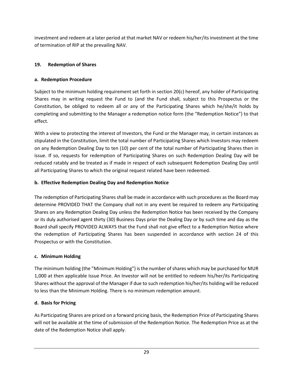investment and redeem at a later period at that market NAV or redeem his/her/its investment at the time of termination of RIP at the prevailing NAV.

# **19. Redemption of Shares**

# **a. Redemption Procedure**

Subject to the minimum holding requirement set forth in section 20(c) hereof, any holder of Participating Shares may in writing request the Fund to (and the Fund shall, subject to this Prospectus or the Constitution, be obliged to redeem all or any of the Participating Shares which he/she/it holds by completing and submitting to the Manager a redemption notice form (the "Redemption Notice") to that effect.

With a view to protecting the interest of Investors, the Fund or the Manager may, in certain instances as stipulated in the Constitution, limit the total number of Participating Shares which Investors may redeem on any Redemption Dealing Day to ten (10) per cent of the total number of Participating Shares then in issue. If so, requests for redemption of Participating Shares on such Redemption Dealing Day will be reduced ratably and be treated as if made in respect of each subsequent Redemption Dealing Day until all Participating Shares to which the original request related have been redeemed.

# **b. Effective Redemption Dealing Day and Redemption Notice**

The redemption of Participating Shares shall be made in accordance with such procedures as the Board may determine PROVIDED THAT the Company shall not in any event be required to redeem any Participating Shares on any Redemption Dealing Day unless the Redemption Notice has been received by the Company or its duly authorised agent thirty (30) Business Days prior the Dealing Day or by such time and day as the Board shall specify PROVIDED ALWAYS that the Fund shall not give effect to a Redemption Notice where the redemption of Participating Shares has been suspended in accordance with section 24 of this Prospectus or with the Constitution.

# **c. Minimum Holding**

The minimum holding (the "Minimum Holding") is the number of shares which may be purchased for MUR 1,000 at then applicable Issue Price. An Investor will not be entitled to redeem his/her/its Participating Shares without the approval of the Manager if due to such redemption his/her/its holding will be reduced to less than the Minimum Holding. There is no minimum redemption amount.

# **d. Basis for Pricing**

As Participating Shares are priced on a forward pricing basis, the Redemption Price of Participating Shares will not be available at the time of submission of the Redemption Notice. The Redemption Price as at the date of the Redemption Notice shall apply.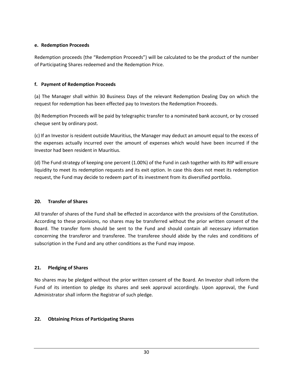### **e. Redemption Proceeds**

Redemption proceeds (the "Redemption Proceeds") will be calculated to be the product of the number of Participating Shares redeemed and the Redemption Price.

# **f. Payment of Redemption Proceeds**

(a) The Manager shall within 30 Business Days of the relevant Redemption Dealing Day on which the request for redemption has been effected pay to Investors the Redemption Proceeds.

(b) Redemption Proceeds will be paid by telegraphic transfer to a nominated bank account, or by crossed cheque sent by ordinary post.

(c) If an Investor is resident outside Mauritius, the Manager may deduct an amount equal to the excess of the expenses actually incurred over the amount of expenses which would have been incurred if the Investor had been resident in Mauritius.

(d) The Fund strategy of keeping one percent (1.00%) of the Fund in cash together with its RIP will ensure liquidity to meet its redemption requests and its exit option. In case this does not meet its redemption request, the Fund may decide to redeem part of its investment from its diversified portfolio.

# **20. Transfer of Shares**

All transfer of shares of the Fund shall be effected in accordance with the provisions of the Constitution. According to these provisions, no shares may be transferred without the prior written consent of the Board. The transfer form should be sent to the Fund and should contain all necessary information concerning the transferor and transferee. The transferee should abide by the rules and conditions of subscription in the Fund and any other conditions as the Fund may impose.

### **21. Pledging of Shares**

No shares may be pledged without the prior written consent of the Board. An Investor shall inform the Fund of its intention to pledge its shares and seek approval accordingly. Upon approval, the Fund Administrator shall inform the Registrar of such pledge.

# **22. Obtaining Prices of Participating Shares**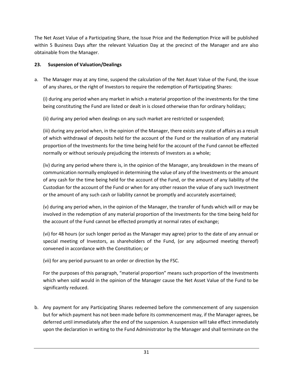The Net Asset Value of a Participating Share, the Issue Price and the Redemption Price will be published within 5 Business Days after the relevant Valuation Day at the precinct of the Manager and are also obtainable from the Manager.

# **23. Suspension of Valuation/Dealings**

a. The Manager may at any time, suspend the calculation of the Net Asset Value of the Fund, the issue of any shares, or the right of Investors to require the redemption of Participating Shares:

(i) during any period when any market in which a material proportion of the investments for the time being constituting the Fund are listed or dealt in is closed otherwise than for ordinary holidays;

(ii) during any period when dealings on any such market are restricted or suspended;

(iii) during any period when, in the opinion of the Manager, there exists any state of affairs as a result of which withdrawal of deposits held for the account of the Fund or the realisation of any material proportion of the Investments for the time being held for the account of the Fund cannot be effected normally or without seriously prejudicing the interests of Investors as a whole;

(iv) during any period where there is, in the opinion of the Manager, any breakdown in the means of communication normally employed in determining the value of any of the Investments or the amount of any cash for the time being held for the account of the Fund, or the amount of any liability of the Custodian for the account of the Fund or when for any other reason the value of any such Investment or the amount of any such cash or liability cannot be promptly and accurately ascertained;

(v) during any period when, in the opinion of the Manager, the transfer of funds which will or may be involved in the redemption of any material proportion of the Investments for the time being held for the account of the Fund cannot be effected promptly at normal rates of exchange;

(vi) for 48 hours (or such longer period as the Manager may agree) prior to the date of any annual or special meeting of Investors, as shareholders of the Fund, (or any adjourned meeting thereof) convened in accordance with the Constitution; or

(vii) for any period pursuant to an order or direction by the FSC.

For the purposes of this paragraph, "material proportion" means such proportion of the Investments which when sold would in the opinion of the Manager cause the Net Asset Value of the Fund to be significantly reduced.

b. Any payment for any Participating Shares redeemed before the commencement of any suspension but for which payment has not been made before its commencement may, if the Manager agrees, be deferred until immediately after the end of the suspension. A suspension will take effect immediately upon the declaration in writing to the Fund Administrator by the Manager and shall terminate on the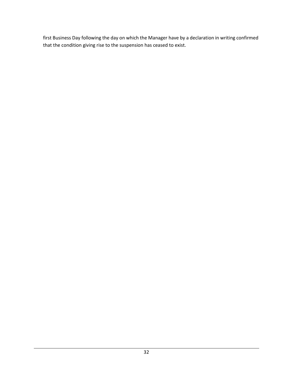first Business Day following the day on which the Manager have by a declaration in writing confirmed that the condition giving rise to the suspension has ceased to exist.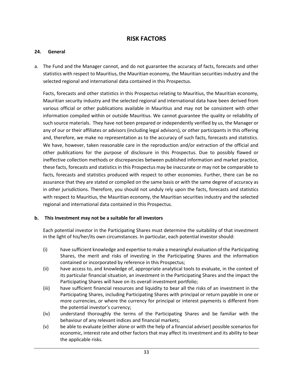# **RISK FACTORS**

### <span id="page-32-0"></span>**24. General**

a. The Fund and the Manager cannot, and do not guarantee the accuracy of facts, forecasts and other statistics with respect to Mauritius, the Mauritian economy, the Mauritian securities industry and the selected regional and international data contained in this Prospectus.

Facts, forecasts and other statistics in this Prospectus relating to Mauritius, the Mauritian economy, Mauritian security industry and the selected regional and international data have been derived from various official or other publications available in Mauritius and may not be consistent with other information compiled within or outside Mauritius. We cannot guarantee the quality or reliability of such source materials. They have not been prepared or independently verified by us, the Manager or any of our or their affiliates or advisors (including legal advisors), or other participants in this offering and, therefore, we make no representation as to the accuracy of such facts, forecasts and statistics. We have, however, taken reasonable care in the reproduction and/or extraction of the official and other publications for the purpose of disclosure in this Prospectus. Due to possibly flawed or ineffective collection methods or discrepancies between published information and market practice, these facts, forecasts and statistics in this Prospectus may be inaccurate or may not be comparable to facts, forecasts and statistics produced with respect to other economies. Further, there can be no assurance that they are stated or compiled on the same basis or with the same degree of accuracy as in other jurisdictions. Therefore, you should not unduly rely upon the facts, forecasts and statistics with respect to Mauritius, the Mauritian economy, the Mauritian securities industry and the selected regional and international data contained in this Prospectus.

### **b. This Investment may not be a suitable for all investors**

Each potential investor in the Participating Shares must determine the suitability of that investment in the light of his/her/its own circumstances. In particular, each potential investor should:

- (i) have sufficient knowledge and expertise to make a meaningful evaluation of the Participating Shares, the merit and risks of investing in the Participating Shares and the information contained or incorporated by reference in this Prospectus;
- (ii) have access to, and knowledge of, appropriate analytical tools to evaluate, in the context of its particular financial situation, an investment in the Participating Shares and the impact the Participating Shares will have on its overall investment portfolio;
- (iii) have sufficient financial resources and liquidity to bear all the risks of an investment in the Participating Shares, including Participating Shares with principal or return payable in one or more currencies, or where the currency for principal or interest payments is different from the potential investor's currency;
- (iv) understand thoroughly the terms of the Participating Shares and be familiar with the behaviour of any relevant indices and financial markets;
- (v) be able to evaluate (either alone or with the help of a financial adviser) possible scenarios for economic, interest rate and other factors that may affect its investment and its ability to bear the applicable risks.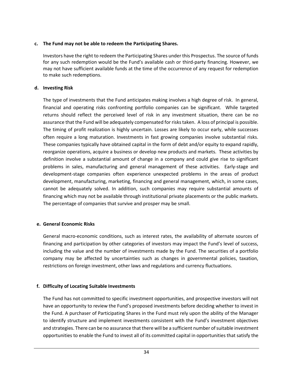### **c. The Fund may not be able to redeem the Participating Shares.**

Investors have the right to redeem the Participating Shares under this Prospectus. The source of funds for any such redemption would be the Fund's available cash or third-party financing. However, we may not have sufficient available funds at the time of the occurrence of any request for redemption to make such redemptions.

### **d. Investing Risk**

The type of investments that the Fund anticipates making involves a high degree of risk. In general, financial and operating risks confronting portfolio companies can be significant. While targeted returns should reflect the perceived level of risk in any investment situation, there can be no assurance that the Fund will be adequately compensated for risks taken. A loss of principal is possible. The timing of profit realization is highly uncertain. Losses are likely to occur early, while successes often require a long maturation. Investments in fast growing companies involve substantial risks. These companies typically have obtained capital in the form of debt and/or equity to expand rapidly, reorganize operations, acquire a business or develop new products and markets. These activities by definition involve a substantial amount of change in a company and could give rise to significant problems in sales, manufacturing and general management of these activities. Early-stage and development-stage companies often experience unexpected problems in the areas of product development, manufacturing, marketing, financing and general management, which, in some cases, cannot be adequately solved. In addition, such companies may require substantial amounts of financing which may not be available through institutional private placements or the public markets. The percentage of companies that survive and prosper may be small.

# **e. General Economic Risks**

General macro-economic conditions, such as interest rates, the availability of alternate sources of financing and participation by other categories of investors may impact the Fund's level of success, including the value and the number of investments made by the Fund. The securities of a portfolio company may be affected by uncertainties such as changes in governmental policies, taxation, restrictions on foreign investment, other laws and regulations and currency fluctuations.

### **f. Difficulty of Locating Suitable Investments**

The Fund has not committed to specific investment opportunities, and prospective investors will not have an opportunity to review the Fund's proposed investments before deciding whether to invest in the Fund. A purchaser of Participating Shares in the Fund must rely upon the ability of the Manager to identify structure and implement investments consistent with the Fund's investment objectives and strategies. There can be no assurance that there will be a sufficient number of suitable investment opportunities to enable the Fund to invest all of its committed capital in opportunities that satisfy the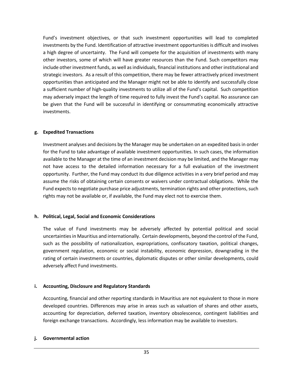Fund's investment objectives, or that such investment opportunities will lead to completed investments by the Fund. Identification of attractive investment opportunities is difficult and involves a high degree of uncertainty. The Fund will compete for the acquisition of investments with many other investors, some of which will have greater resources than the Fund. Such competitors may include other investment funds, as well as individuals, financial institutions and other institutional and strategic investors. As a result of this competition, there may be fewer attractively priced investment opportunities than anticipated and the Manager might not be able to identify and successfully close a sufficient number of high-quality investments to utilize all of the Fund's capital. Such competition may adversely impact the length of time required to fully invest the Fund's capital. No assurance can be given that the Fund will be successful in identifying or consummating economically attractive investments.

### **g. Expedited Transactions**

Investment analyses and decisions by the Manager may be undertaken on an expedited basis in order for the Fund to take advantage of available investment opportunities. In such cases, the information available to the Manager at the time of an investment decision may be limited, and the Manager may not have access to the detailed information necessary for a full evaluation of the investment opportunity. Further, the Fund may conduct its due diligence activities in a very brief period and may assume the risks of obtaining certain consents or waivers under contractual obligations. While the Fund expects to negotiate purchase price adjustments, termination rights and other protections, such rights may not be available or, if available, the Fund may elect not to exercise them.

### **h. Political, Legal, Social and Economic Considerations**

The value of Fund investments may be adversely affected by potential political and social uncertainties in Mauritius and internationally. Certain developments, beyond the control of the Fund, such as the possibility of nationalization, expropriations, confiscatory taxation, political changes, government regulation, economic or social instability, economic depression, downgrading in the rating of certain investments or countries, diplomatic disputes or other similar developments, could adversely affect Fund investments.

# **i. Accounting, Disclosure and Regulatory Standards**

Accounting, financial and other reporting standards in Mauritius are not equivalent to those in more developed countries. Differences may arise in areas such as valuation of shares and other assets, accounting for depreciation, deferred taxation, inventory obsolescence, contingent liabilities and foreign exchange transactions. Accordingly, less information may be available to investors.

### **j. Governmental action**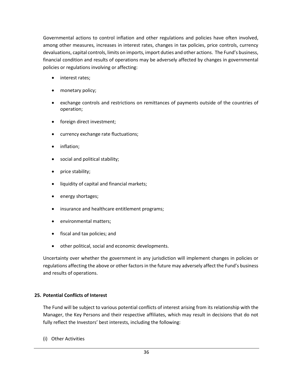Governmental actions to control inflation and other regulations and policies have often involved, among other measures, increases in interest rates, changes in tax policies, price controls, currency devaluations, capital controls, limits on imports, import duties and other actions. The Fund's business, financial condition and results of operations may be adversely affected by changes in governmental policies or regulations involving or affecting:

- interest rates;
- monetary policy;
- exchange controls and restrictions on remittances of payments outside of the countries of operation;
- foreign direct investment;
- currency exchange rate fluctuations;
- inflation;
- social and political stability;
- price stability;
- liquidity of capital and financial markets;
- energy shortages;
- insurance and healthcare entitlement programs;
- environmental matters;
- fiscal and tax policies; and
- other political, social and economic developments.

Uncertainty over whether the government in any jurisdiction will implement changes in policies or regulations affecting the above or other factors in the future may adversely affect the Fund's business and results of operations.

# **25. Potential Conflicts of Interest**

The Fund will be subject to various potential conflicts of interest arising from its relationship with the Manager, the Key Persons and their respective affiliates, which may result in decisions that do not fully reflect the Investors' best interests, including the following:

(i) Other Activities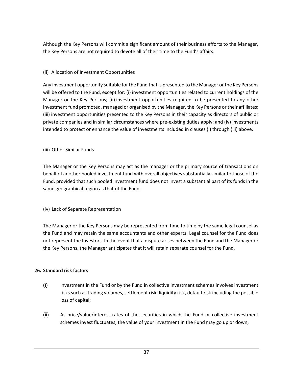Although the Key Persons will commit a significant amount of their business efforts to the Manager, the Key Persons are not required to devote all of their time to the Fund's affairs.

# (ii) Allocation of Investment Opportunities

Any investment opportunity suitable for the Fund that is presented to the Manager or the Key Persons will be offered to the Fund, except for: (i) investment opportunities related to current holdings of the Manager or the Key Persons; (ii) investment opportunities required to be presented to any other investment fund promoted, managed or organised by the Manager, the Key Persons or their affiliates; (iii) investment opportunities presented to the Key Persons in their capacity as directors of public or private companies and in similar circumstances where pre-existing duties apply; and (iv) investments intended to protect or enhance the value of investments included in clauses (i) through (iii) above.

# (iii) Other Similar Funds

The Manager or the Key Persons may act as the manager or the primary source of transactions on behalf of another pooled investment fund with overall objectives substantially similar to those of the Fund, provided that such pooled investment fund does not invest a substantial part of its funds in the same geographical region as that of the Fund.

# (iv) Lack of Separate Representation

The Manager or the Key Persons may be represented from time to time by the same legal counsel as the Fund and may retain the same accountants and other experts. Legal counsel for the Fund does not represent the Investors. In the event that a dispute arises between the Fund and the Manager or the Key Persons, the Manager anticipates that it will retain separate counsel for the Fund.

# **26. Standard risk factors**

- (i) Investment in the Fund or by the Fund in collective investment schemes involves investment risks such as trading volumes, settlement risk, liquidity risk, default risk including the possible loss of capital;
- (ii) As price/value/interest rates of the securities in which the Fund or collective investment schemes invest fluctuates, the value of your investment in the Fund may go up or down;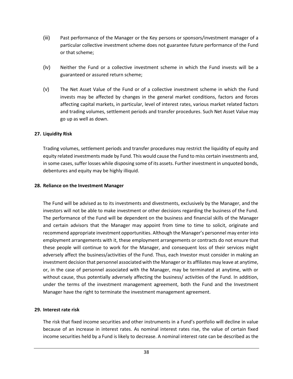- (iii) Past performance of the Manager or the Key persons or sponsors/investment manager of a particular collective investment scheme does not guarantee future performance of the Fund or that scheme;
- (iv) Neither the Fund or a collective investment scheme in which the Fund invests will be a guaranteed or assured return scheme;
- (v) The Net Asset Value of the Fund or of a collective investment scheme in which the Fund invests may be affected by changes in the general market conditions, factors and forces affecting capital markets, in particular, level of interest rates, various market related factors and trading volumes, settlement periods and transfer procedures. Such Net Asset Value may go up as well as down.

### **27. Liquidity Risk**

Trading volumes, settlement periods and transfer procedures may restrict the liquidity of equity and equity related investments made by Fund. This would cause the Fund to miss certain investments and, in some cases, suffer losses while disposing some of its assets. Further investment in unquoted bonds, debentures and equity may be highly illiquid.

### **28. Reliance on the Investment Manager**

The Fund will be advised as to its investments and divestments, exclusively by the Manager, and the investors will not be able to make investment or other decisions regarding the business of the Fund. The performance of the Fund will be dependent on the business and financial skills of the Manager and certain advisors that the Manager may appoint from time to time to solicit, originate and recommend appropriate investment opportunities. Although the Manager's personnel may enter into employment arrangements with it, these employment arrangements or contracts do not ensure that these people will continue to work for the Manager, and consequent loss of their services might adversely affect the business/activities of the Fund. Thus, each Investor must consider in making an investment decision that personnel associated with the Manager or its affiliates may leave at anytime, or, in the case of personnel associated with the Manager, may be terminated at anytime, with or without cause, thus potentially adversely affecting the business/ activities of the Fund. In addition, under the terms of the investment management agreement, both the Fund and the Investment Manager have the right to terminate the investment management agreement.

### **29. Interest rate risk**

The risk that fixed income securities and other instruments in a Fund's portfolio will decline in value because of an increase in interest rates. As nominal interest rates rise, the value of certain fixed income securities held by a Fund is likely to decrease. A nominal interest rate can be described as the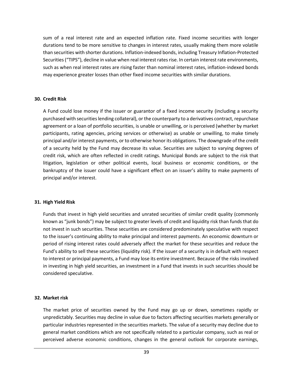sum of a real interest rate and an expected inflation rate. Fixed income securities with longer durations tend to be more sensitive to changes in interest rates, usually making them more volatile than securities with shorter durations. Inflation-indexed bonds, including Treasury Inflation-Protected Securities ("TIPS"), decline in value when real interest rates rise. In certain interest rate environments, such as when real interest rates are rising faster than nominal interest rates, inflation-indexed bonds may experience greater losses than other fixed income securities with similar durations.

### **30. Credit Risk**

A Fund could lose money if the issuer or guarantor of a fixed income security (including a security purchased with securities lending collateral), or the counterparty to a derivatives contract, repurchase agreement or a loan of portfolio securities, is unable or unwilling, or is perceived (whether by market participants, rating agencies, pricing services or otherwise) as unable or unwilling, to make timely principal and/or interest payments, or to otherwise honor its obligations. The downgrade of the credit of a security held by the Fund may decrease its value. Securities are subject to varying degrees of credit risk, which are often reflected in credit ratings. Municipal Bonds are subject to the risk that litigation, legislation or other political events, local business or economic conditions, or the bankruptcy of the issuer could have a significant effect on an issuer's ability to make payments of principal and/or interest.

### **31. High Yield Risk**

Funds that invest in high yield securities and unrated securities of similar credit quality (commonly known as "junk bonds") may be subject to greater levels of credit and liquidity risk than funds that do not invest in such securities. These securities are considered predominately speculative with respect to the issuer's continuing ability to make principal and interest payments. An economic downturn or period of rising interest rates could adversely affect the market for these securities and reduce the Fund's ability to sell these securities (liquidity risk). If the issuer of a security is in default with respect to interest or principal payments, a Fund may lose its entire investment. Because of the risks involved in investing in high yield securities, an investment in a Fund that invests in such securities should be considered speculative.

### **32. Market risk**

The market price of securities owned by the Fund may go up or down, sometimes rapidly or unpredictably. Securities may decline in value due to factors affecting securities markets generally or particular industries represented in the securities markets. The value of a security may decline due to general market conditions which are not specifically related to a particular company, such as real or perceived adverse economic conditions, changes in the general outlook for corporate earnings,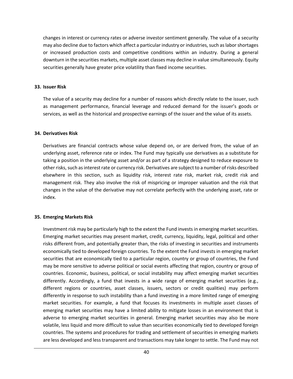changes in interest or currency rates or adverse investor sentiment generally. The value of a security may also decline due to factors which affect a particular industry or industries, such as labor shortages or increased production costs and competitive conditions within an industry. During a general downturn in the securities markets, multiple asset classes may decline in value simultaneously. Equity securities generally have greater price volatility than fixed income securities.

#### **33. Issuer Risk**

The value of a security may decline for a number of reasons which directly relate to the issuer, such as management performance, financial leverage and reduced demand for the issuer's goods or services, as well as the historical and prospective earnings of the issuer and the value of its assets.

#### **34. Derivatives Risk**

Derivatives are financial contracts whose value depend on, or are derived from, the value of an underlying asset, reference rate or index. The Fund may typically use derivatives as a substitute for taking a position in the underlying asset and/or as part of a strategy designed to reduce exposure to other risks, such as interest rate or currency risk. Derivatives are subject to a number of risks described elsewhere in this section, such as liquidity risk, interest rate risk, market risk, credit risk and management risk. They also involve the risk of mispricing or improper valuation and the risk that changes in the value of the derivative may not correlate perfectly with the underlying asset, rate or index.

### **35. Emerging Markets Risk**

Investment risk may be particularly high to the extent the Fund invests in emerging market securities. Emerging market securities may present market, credit, currency, liquidity, legal, political and other risks different from, and potentially greater than, the risks of investing in securities and instruments economically tied to developed foreign countries. To the extent the Fund invests in emerging market securities that are economically tied to a particular region, country or group of countries, the Fund may be more sensitive to adverse political or social events affecting that region, country or group of countries. Economic, business, political, or social instability may affect emerging market securities differently. Accordingly, a fund that invests in a wide range of emerging market securities (e.g., different regions or countries, asset classes, issuers, sectors or credit qualities) may perform differently in response to such instability than a fund investing in a more limited range of emerging market securities. For example, a fund that focuses its investments in multiple asset classes of emerging market securities may have a limited ability to mitigate losses in an environment that is adverse to emerging market securities in general. Emerging market securities may also be more volatile, less liquid and more difficult to value than securities economically tied to developed foreign countries. The systems and procedures for trading and settlement of securities in emerging markets are less developed and less transparent and transactions may take longer to settle. The Fund may not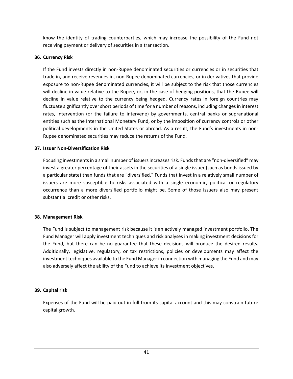know the identity of trading counterparties, which may increase the possibility of the Fund not receiving payment or delivery of securities in a transaction.

### **36. Currency Risk**

If the Fund invests directly in non-Rupee denominated securities or currencies or in securities that trade in, and receive revenues in, non-Rupee denominated currencies, or in derivatives that provide exposure to non-Rupee denominated currencies, it will be subject to the risk that those currencies will decline in value relative to the Rupee, or, in the case of hedging positions, that the Rupee will decline in value relative to the currency being hedged. Currency rates in foreign countries may fluctuate significantly over short periods of time for a number of reasons, including changes in interest rates, intervention (or the failure to intervene) by governments, central banks or supranational entities such as the International Monetary Fund, or by the imposition of currency controls or other political developments in the United States or abroad. As a result, the Fund's investments in non-Rupee denominated securities may reduce the returns of the Fund.

### **37. Issuer Non-Diversification Risk**

Focusing investments in a small number of issuers increases risk. Funds that are "non-diversified" may invest a greater percentage of their assets in the securities of a single issuer (such as bonds issued by a particular state) than funds that are "diversified." Funds that invest in a relatively small number of issuers are more susceptible to risks associated with a single economic, political or regulatory occurrence than a more diversified portfolio might be. Some of those issuers also may present substantial credit or other risks.

# **38. Management Risk**

The Fund is subject to management risk because it is an actively managed investment portfolio. The Fund Manager will apply investment techniques and risk analyses in making investment decisions for the Fund, but there can be no guarantee that these decisions will produce the desired results. Additionally, legislative, regulatory, or tax restrictions, policies or developments may affect the investment techniques available to the Fund Manager in connection with managing the Fund and may also adversely affect the ability of the Fund to achieve its investment objectives.

# **39. Capital risk**

Expenses of the Fund will be paid out in full from its capital account and this may constrain future capital growth.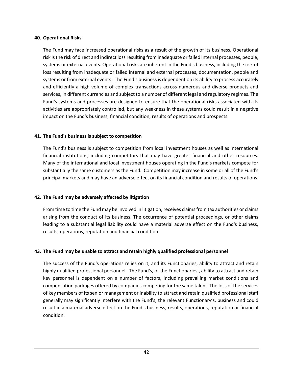### **40. Operational Risks**

The Fund may face increased operational risks as a result of the growth of its business. Operational risk is the risk of direct and indirect loss resulting from inadequate or failed internal processes, people, systems or external events. Operational risks are inherent in the Fund's business, including the risk of loss resulting from inadequate or failed internal and external processes, documentation, people and systems or from external events. The Fund's business is dependent on its ability to process accurately and efficiently a high volume of complex transactions across numerous and diverse products and services, in different currencies and subject to a number of different legal and regulatory regimes. The Fund's systems and processes are designed to ensure that the operational risks associated with its activities are appropriately controlled, but any weakness in these systems could result in a negative impact on the Fund's business, financial condition, results of operations and prospects.

### **41. The Fund's business is subject to competition**

The Fund's business is subject to competition from local investment houses as well as international financial institutions, including competitors that may have greater financial and other resources. Many of the international and local investment houses operating in the Fund's markets compete for substantially the same customers as the Fund. Competition may increase in some or all of the Fund's principal markets and may have an adverse effect on its financial condition and results of operations.

### **42. The Fund may be adversely affected by litigation**

From time to time the Fund may be involved in litigation, receives claims from tax authorities or claims arising from the conduct of its business. The occurrence of potential proceedings, or other claims leading to a substantial legal liability could have a material adverse effect on the Fund's business, results, operations, reputation and financial condition.

### **43. The Fund may be unable to attract and retain highly qualified professional personnel**

The success of the Fund's operations relies on it, and its Functionaries, ability to attract and retain highly qualified professional personnel. The Fund's, or the Functionaries', ability to attract and retain key personnel is dependent on a number of factors, including prevailing market conditions and compensation packages offered by companies competing for the same talent. The loss of the services of key members of its senior management or inability to attract and retain qualified professional staff generally may significantly interfere with the Fund's, the relevant Functionary's, business and could result in a material adverse effect on the Fund's business, results, operations, reputation or financial condition.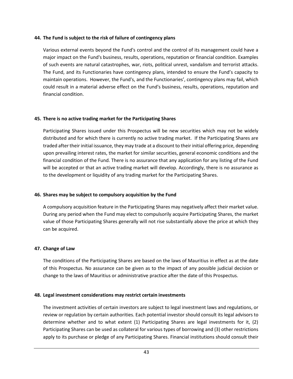### **44. The Fund is subject to the risk of failure of contingency plans**

Various external events beyond the Fund's control and the control of its management could have a major impact on the Fund's business, results, operations, reputation or financial condition. Examples of such events are natural catastrophes, war, riots, political unrest, vandalism and terrorist attacks. The Fund, and its Functionaries have contingency plans, intended to ensure the Fund's capacity to maintain operations. However, the Fund's, and the Functionaries', contingency plans may fail, which could result in a material adverse effect on the Fund's business, results, operations, reputation and financial condition.

### **45. There is no active trading market for the Participating Shares**

Participating Shares issued under this Prospectus will be new securities which may not be widely distributed and for which there is currently no active trading market. If the Participating Shares are traded after their initial issuance, they may trade at a discount to their initial offering price, depending upon prevailing interest rates, the market for similar securities, general economic conditions and the financial condition of the Fund. There is no assurance that any application for any listing of the Fund will be accepted or that an active trading market will develop. Accordingly, there is no assurance as to the development or liquidity of any trading market for the Participating Shares.

### **46. Shares may be subject to compulsory acquisition by the Fund**

A compulsory acquisition feature in the Participating Shares may negatively affect their market value. During any period when the Fund may elect to compulsorily acquire Participating Shares, the market value of those Participating Shares generally will not rise substantially above the price at which they can be acquired.

#### **47. Change of Law**

The conditions of the Participating Shares are based on the laws of Mauritius in effect as at the date of this Prospectus. No assurance can be given as to the impact of any possible judicial decision or change to the laws of Mauritius or administrative practice after the date of this Prospectus.

### **48. Legal investment considerations may restrict certain investments**

The investment activities of certain investors are subject to legal investment laws and regulations, or review or regulation by certain authorities. Each potential investor should consult its legal advisors to determine whether and to what extent (1) Participating Shares are legal investments for it, (2) Participating Shares can be used as collateral for various types of borrowing and (3) other restrictions apply to its purchase or pledge of any Participating Shares. Financial institutions should consult their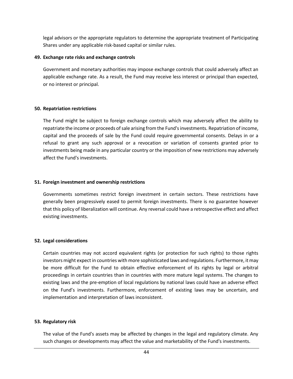legal advisors or the appropriate regulators to determine the appropriate treatment of Participating Shares under any applicable risk-based capital or similar rules.

### **49. Exchange rate risks and exchange controls**

Government and monetary authorities may impose exchange controls that could adversely affect an applicable exchange rate. As a result, the Fund may receive less interest or principal than expected, or no interest or principal.

#### **50. Repatriation restrictions**

The Fund might be subject to foreign exchange controls which may adversely affect the ability to repatriate the income or proceeds of sale arising from the Fund's investments. Repatriation of income, capital and the proceeds of sale by the Fund could require governmental consents. Delays in or a refusal to grant any such approval or a revocation or variation of consents granted prior to investments being made in any particular country or the imposition of new restrictions may adversely affect the Fund's investments.

### **51. Foreign investment and ownership restrictions**

Governments sometimes restrict foreign investment in certain sectors. These restrictions have generally been progressively eased to permit foreign investments. There is no guarantee however that this policy of liberalization will continue. Any reversal could have a retrospective effect and affect existing investments.

### **52. Legal considerations**

Certain countries may not accord equivalent rights (or protection for such rights) to those rights investors might expect in countries with more sophisticated laws and regulations. Furthermore, it may be more difficult for the Fund to obtain effective enforcement of its rights by legal or arbitral proceedings in certain countries than in countries with more mature legal systems. The changes to existing laws and the pre-emption of local regulations by national laws could have an adverse effect on the Fund's investments. Furthermore, enforcement of existing laws may be uncertain, and implementation and interpretation of laws inconsistent.

#### **53. Regulatory risk**

The value of the Fund's assets may be affected by changes in the legal and regulatory climate. Any such changes or developments may affect the value and marketability of the Fund's investments.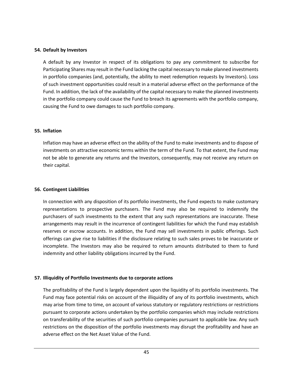#### **54. Default by Investors**

A default by any Investor in respect of its obligations to pay any commitment to subscribe for Participating Shares may result in the Fund lacking the capital necessary to make planned investments in portfolio companies (and, potentially, the ability to meet redemption requests by Investors). Loss of such investment opportunities could result in a material adverse effect on the performance of the Fund. In addition, the lack of the availability of the capital necessary to make the planned investments in the portfolio company could cause the Fund to breach its agreements with the portfolio company, causing the Fund to owe damages to such portfolio company.

#### **55. Inflation**

Inflation may have an adverse effect on the ability of the Fund to make investments and to dispose of investments on attractive economic terms within the term of the Fund. To that extent, the Fund may not be able to generate any returns and the Investors, consequently, may not receive any return on their capital.

#### **56. Contingent Liabilities**

In connection with any disposition of its portfolio investments, the Fund expects to make customary representations to prospective purchasers. The Fund may also be required to indemnify the purchasers of such investments to the extent that any such representations are inaccurate. These arrangements may result in the incurrence of contingent liabilities for which the Fund may establish reserves or escrow accounts. In addition, the Fund may sell investments in public offerings. Such offerings can give rise to liabilities if the disclosure relating to such sales proves to be inaccurate or incomplete. The Investors may also be required to return amounts distributed to them to fund indemnity and other liability obligations incurred by the Fund.

### **57. Illiquidity of Portfolio Investments due to corporate actions**

The profitability of the Fund is largely dependent upon the liquidity of its portfolio investments. The Fund may face potential risks on account of the illiquidity of any of its portfolio investments, which may arise from time to time, on account of various statutory or regulatory restrictions or restrictions pursuant to corporate actions undertaken by the portfolio companies which may include restrictions on transferability of the securities of such portfolio companies pursuant to applicable law. Any such restrictions on the disposition of the portfolio investments may disrupt the profitability and have an adverse effect on the Net Asset Value of the Fund.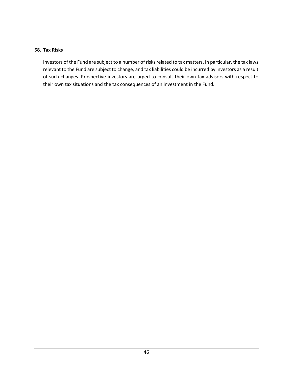### **58. Tax Risks**

Investors of the Fund are subject to a number of risks related to tax matters. In particular, the tax laws relevant to the Fund are subject to change, and tax liabilities could be incurred by investors as a result of such changes. Prospective investors are urged to consult their own tax advisors with respect to their own tax situations and the tax consequences of an investment in the Fund.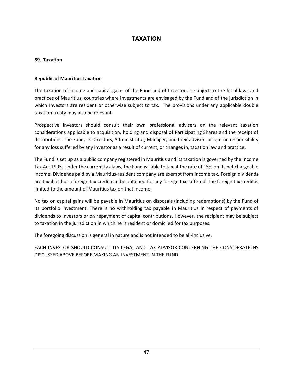# **TAXATION**

### <span id="page-46-0"></span>**59. Taxation**

### **Republic of Mauritius Taxation**

The taxation of income and capital gains of the Fund and of Investors is subject to the fiscal laws and practices of Mauritius, countries where investments are envisaged by the Fund and of the jurisdiction in which Investors are resident or otherwise subject to tax. The provisions under any applicable double taxation treaty may also be relevant.

Prospective investors should consult their own professional advisers on the relevant taxation considerations applicable to acquisition, holding and disposal of Participating Shares and the receipt of distributions. The Fund, its Directors, Administrator, Manager, and their advisers accept no responsibility for any loss suffered by any investor as a result of current, or changes in, taxation law and practice.

The Fund is set up as a public company registered in Mauritius and its taxation is governed by the Income Tax Act 1995. Under the current tax laws, the Fund is liable to tax at the rate of 15% on its net chargeable income. Dividends paid by a Mauritius-resident company are exempt from income tax. Foreign dividends are taxable, but a foreign tax credit can be obtained for any foreign tax suffered. The foreign tax credit is limited to the amount of Mauritius tax on that income.

No tax on capital gains will be payable in Mauritius on disposals (including redemptions) by the Fund of its portfolio investment. There is no withholding tax payable in Mauritius in respect of payments of dividends to Investors or on repayment of capital contributions. However, the recipient may be subject to taxation in the jurisdiction in which he is resident or domiciled for tax purposes.

The foregoing discussion is general in nature and is not intended to be all-inclusive.

EACH INVESTOR SHOULD CONSULT ITS LEGAL AND TAX ADVISOR CONCERNING THE CONSIDERATIONS DISCUSSED ABOVE BEFORE MAKING AN INVESTMENT IN THE FUND.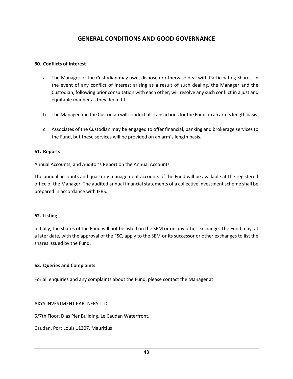# **GENERAL CONDITIONS AND GOOD GOVERNANCE**

### <span id="page-47-0"></span>**60. Conflicts of Interest**

- a. The Manager or the Custodian may own, dispose or otherwise deal with Participating Shares. In the event of any conflict of interest arising as a result of such dealing, the Manager and the Custodian, following prior consultation with each other, will resolve any such conflict in a just and equitable manner as they deem fit.
- b. The Manager and the Custodian will conduct all transactions for the Fund on an arm's length basis.
- c. Associates of the Custodian may be engaged to offer financial, banking and brokerage services to the Fund, but these services will be provided on an arm's length basis.

#### **61. Reports**

#### Annual Accounts, and Auditor's Report on the Annual Accounts

The annual accounts and quarterly management accounts of the Fund will be available at the registered office of the Manager. The audited annual financial statements of a collective investment scheme shall be prepared in accordance with IFRS.

#### **62. Listing**

Initially, the shares of the Fund will not be listed on the SEM or on any other exchange. The Fund may, at a later date, with the approval of the FSC, apply to the SEM or its successor or other exchanges to list the shares issued by the Fund.

#### **63. Queries and Complaints**

For all enquiries and any complaints about the Fund, please contact the Manager at:

#### AXYS INVESTMENT PARTNERS LTD

6/7th Floor, Dias Pier Building, Le Caudan Waterfront,

Caudan, Port Louis 11307, Mauritius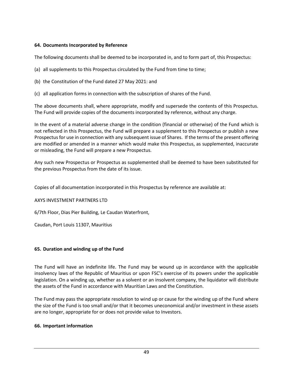### **64. Documents Incorporated by Reference**

The following documents shall be deemed to be incorporated in, and to form part of, this Prospectus:

- (a) all supplements to this Prospectus circulated by the Fund from time to time;
- (b) the Constitution of the Fund dated 27 May 2021: and
- (c) all application forms in connection with the subscription of shares of the Fund.

The above documents shall, where appropriate, modify and supersede the contents of this Prospectus. The Fund will provide copies of the documents incorporated by reference, without any charge.

In the event of a material adverse change in the condition (financial or otherwise) of the Fund which is not reflected in this Prospectus, the Fund will prepare a supplement to this Prospectus or publish a new Prospectus for use in connection with any subsequent issue of Shares. If the terms of the present offering are modified or amended in a manner which would make this Prospectus, as supplemented, inaccurate or misleading, the Fund will prepare a new Prospectus.

Any such new Prospectus or Prospectus as supplemented shall be deemed to have been substituted for the previous Prospectus from the date of its issue.

Copies of all documentation incorporated in this Prospectus by reference are available at:

### AXYS INVESTMENT PARTNERS LTD

6/7th Floor, Dias Pier Building, Le Caudan Waterfront,

Caudan, Port Louis 11307, Mauritius

### **65. Duration and winding up of the Fund**

The Fund will have an indefinite life. The Fund may be wound up in accordance with the applicable insolvency laws of the Republic of Mauritius or upon FSC's exercise of its powers under the applicable legislation. On a winding up, whether as a solvent or an insolvent company, the liquidator will distribute the assets of the Fund in accordance with Mauritian Laws and the Constitution.

The Fund may pass the appropriate resolution to wind up or cause for the winding up of the Fund where the size of the Fund is too small and/or that it becomes uneconomical and/or investment in these assets are no longer, appropriate for or does not provide value to Investors.

### **66. Important information**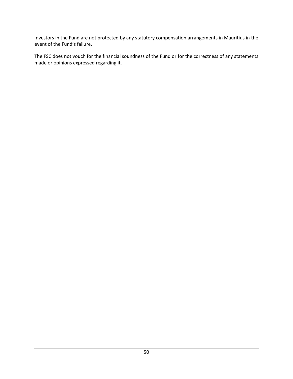Investors in the Fund are not protected by any statutory compensation arrangements in Mauritius in the event of the Fund's failure.

The FSC does not vouch for the financial soundness of the Fund or for the correctness of any statements made or opinions expressed regarding it.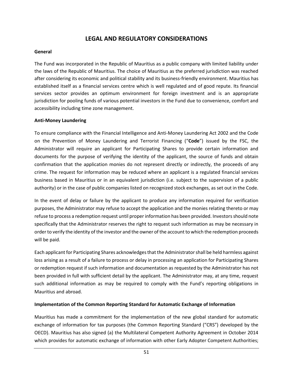# **LEGAL AND REGULATORY CONSIDERATIONS**

#### <span id="page-50-0"></span>**General**

The Fund was incorporated in the Republic of Mauritius as a public company with limited liability under the laws of the Republic of Mauritius. The choice of Mauritius as the preferred jurisdiction was reached after considering its economic and political stability and its business-friendly environment. Mauritius has established itself as a financial services centre which is well regulated and of good repute. Its financial services sector provides an optimum environment for foreign investment and is an appropriate jurisdiction for pooling funds of various potential investors in the Fund due to convenience, comfort and accessibility including time zone management.

#### **Anti-Money Laundering**

To ensure compliance with the Financial Intelligence and Anti-Money Laundering Act 2002 and the Code on the Prevention of Money Laundering and Terrorist Financing ("**Code**") issued by the FSC, the Administrator will require an applicant for Participating Shares to provide certain information and documents for the purpose of verifying the identity of the applicant, the source of funds and obtain confirmation that the application monies do not represent directly or indirectly, the proceeds of any crime. The request for information may be reduced where an applicant is a regulated financial services business based in Mauritius or in an equivalent jurisdiction (i.e. subject to the supervision of a public authority) or in the case of public companies listed on recognized stock exchanges, as set out in the Code.

In the event of delay or failure by the applicant to produce any information required for verification purposes, the Administrator may refuse to accept the application and the monies relating thereto or may refuse to process a redemption request until proper information has been provided. Investors should note specifically that the Administrator reserves the right to request such information as may be necessary in order to verify the identity of the investor and the owner of the account to which the redemption proceeds will be paid.

Each applicant for Participating Shares acknowledges that the Administrator shall be held harmless against loss arising as a result of a failure to process or delay in processing an application for Participating Shares or redemption request if such information and documentation as requested by the Administrator has not been provided in full with sufficient detail by the applicant. The Administrator may, at any time, request such additional information as may be required to comply with the Fund's reporting obligations in Mauritius and abroad.

#### **Implementation of the Common Reporting Standard for Automatic Exchange of Information**

Mauritius has made a commitment for the implementation of the new global standard for automatic exchange of information for tax purposes (the Common Reporting Standard ("CRS") developed by the OECD). Mauritius has also signed (a) the Multilateral Competent Authority Agreement in October 2014 which provides for automatic exchange of information with other Early Adopter Competent Authorities;